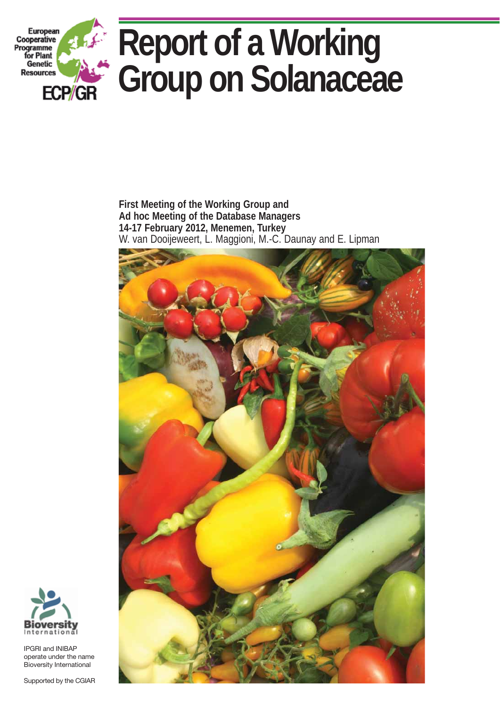

**First Meeting of the Working Group and Ad hoc Meeting of the Database Managers 14-17 February 2012, Menemen, Turkey** W. van Dooijeweert, L. Maggioni, M.-C. Daunay and E. Lipman





IPGRI and INIBAP operate under the name Bioversity International

Supported by the CGIAR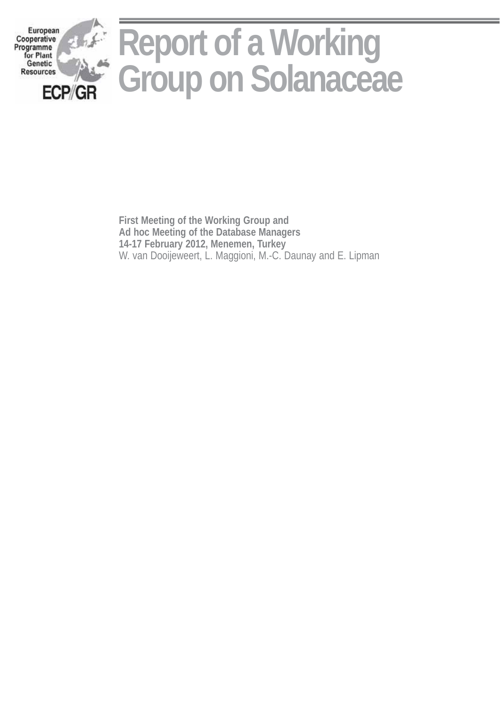

**First Meeting of the Working Group and Ad hoc Meeting of the Database Managers 14-17 February 2012, Menemen, Turkey**  W. van Dooijeweert, L. Maggioni, M.-C. Daunay and E. Lipman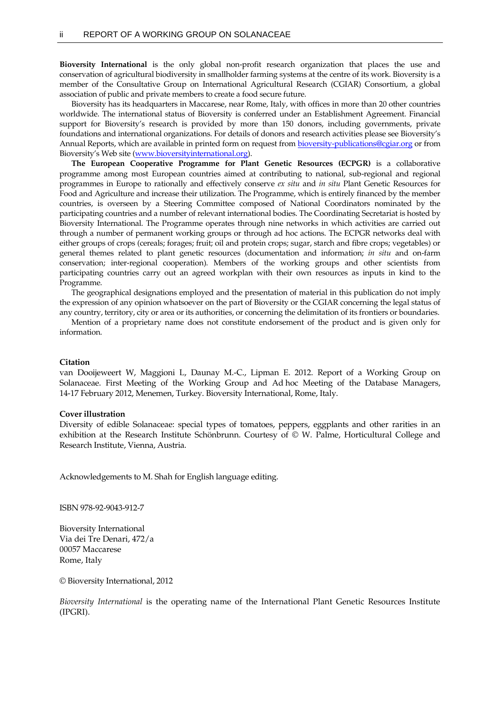**Bioversity International** is the only global non-profit research organization that places the use and conservation of agricultural biodiversity in smallholder farming systems at the centre of its work. Bioversity is a member of the Consultative Group on International Agricultural Research (CGIAR) Consortium, a global association of public and private members to create a food secure future.

Bioversity has its headquarters in Maccarese, near Rome, Italy, with offices in more than 20 other countries worldwide. The international status of Bioversity is conferred under an Establishment Agreement. Financial support for Bioversity's research is provided by more than 150 donors, including governments, private foundations and international organizations. For details of donors and research activities please see Bioversity's Annual Reports, which are available in printed form on request fro[m bioversity-publications@cgiar.org](mailto:bioversity-publications@cgiar.org) or from Bioversity's Web site ([www.bioversityinternational.org\)](http://www.bioversityinternational.org/).

**The European Cooperative Programme for Plant Genetic Resources (ECPGR)** is a collaborative programme among most European countries aimed at contributing to national, sub-regional and regional programmes in Europe to rationally and effectively conserve *ex situ* and *in situ* Plant Genetic Resources for Food and Agriculture and increase their utilization. The Programme, which is entirely financed by the member countries, is overseen by a Steering Committee composed of National Coordinators nominated by the participating countries and a number of relevant international bodies. The Coordinating Secretariat is hosted by Bioversity International. The Programme operates through nine networks in which activities are carried out through a number of permanent working groups or through ad hoc actions. The ECPGR networks deal with either groups of crops (cereals; forages; fruit; oil and protein crops; sugar, starch and fibre crops; vegetables) or general themes related to plant genetic resources (documentation and information; *in situ* and on-farm conservation; inter-regional cooperation). Members of the working groups and other scientists from participating countries carry out an agreed workplan with their own resources as inputs in kind to the Programme.

The geographical designations employed and the presentation of material in this publication do not imply the expression of any opinion whatsoever on the part of Bioversity or the CGIAR concerning the legal status of any country, territory, city or area or its authorities, or concerning the delimitation of its frontiers or boundaries.

Mention of a proprietary name does not constitute endorsement of the product and is given only for information.

#### **Citation**

van Dooijeweert W, Maggioni L, Daunay M.-C., Lipman E. 2012. Report of a Working Group on Solanaceae. First Meeting of the Working Group and Ad hoc Meeting of the Database Managers, 14-17 February 2012, Menemen, Turkey. Bioversity International, Rome, Italy.

#### **Cover illustration**

Diversity of edible Solanaceae: special types of tomatoes, peppers, eggplants and other rarities in an exhibition at the Research Institute Schönbrunn. Courtesy of © W. Palme, Horticultural College and Research Institute, Vienna, Austria.

Acknowledgements to M. Shah for English language editing.

ISBN 978-92-9043-912-7

Bioversity International Via dei Tre Denari, 472/a 00057 Maccarese Rome, Italy

© Bioversity International, 2012

*Bioversity International* is the operating name of the International Plant Genetic Resources Institute (IPGRI).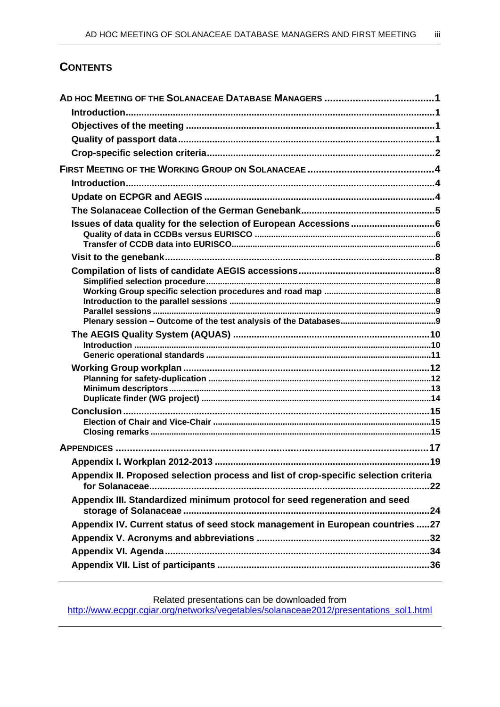# **CONTENTS**

| Issues of data quality for the selection of European Accessions6                     |  |
|--------------------------------------------------------------------------------------|--|
|                                                                                      |  |
|                                                                                      |  |
|                                                                                      |  |
|                                                                                      |  |
|                                                                                      |  |
|                                                                                      |  |
|                                                                                      |  |
|                                                                                      |  |
|                                                                                      |  |
|                                                                                      |  |
|                                                                                      |  |
|                                                                                      |  |
|                                                                                      |  |
|                                                                                      |  |
|                                                                                      |  |
|                                                                                      |  |
|                                                                                      |  |
| Appendix II. Proposed selection process and list of crop-specific selection criteria |  |
|                                                                                      |  |
| Appendix III. Standardized minimum protocol for seed regeneration and seed           |  |
| Appendix IV. Current status of seed stock management in European countries 27        |  |
|                                                                                      |  |
|                                                                                      |  |
|                                                                                      |  |
|                                                                                      |  |

Related presentations can be downloaded from

[http://www.ecpgr.cgiar.org/networks/vegetables/solanaceae2012/presentations\\_sol1.html](http://www.ecpgr.cgiar.org/networks/vegetables/solanaceae2012/presentations_sol1.html)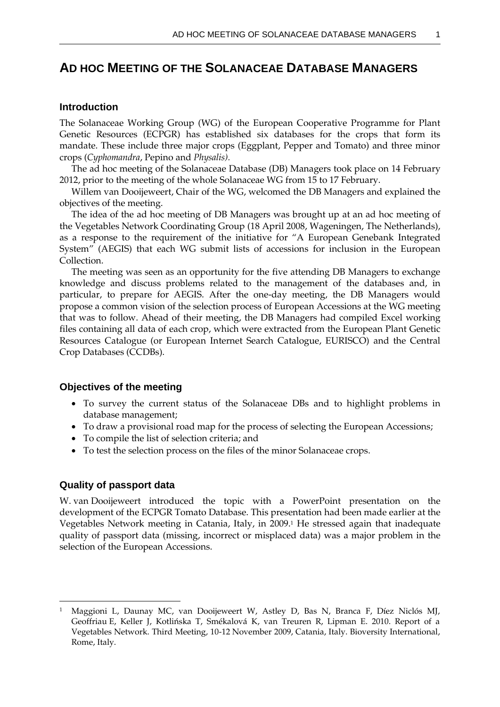# **AD HOC MEETING OF THE SOLANACEAE DATABASE MANAGERS**

## **Introduction**

The Solanaceae Working Group (WG) of the European Cooperative Programme for Plant Genetic Resources (ECPGR) has established six databases for the crops that form its mandate. These include three major crops (Eggplant, Pepper and Tomato) and three minor crops (*Cyphomandra*, Pepino and *Physalis).*

The ad hoc meeting of the Solanaceae Database (DB) Managers took place on 14 February 2012, prior to the meeting of the whole Solanaceae WG from 15 to 17 February.

Willem van Dooijeweert, Chair of the WG, welcomed the DB Managers and explained the objectives of the meeting.

The idea of the ad hoc meeting of DB Managers was brought up at an ad hoc meeting of the Vegetables Network Coordinating Group (18 April 2008, Wageningen, The Netherlands), as a response to the requirement of the initiative for "A European Genebank Integrated System" (AEGIS) that each WG submit lists of accessions for inclusion in the European Collection.

The meeting was seen as an opportunity for the five attending DB Managers to exchange knowledge and discuss problems related to the management of the databases and, in particular, to prepare for AEGIS. After the one-day meeting, the DB Managers would propose a common vision of the selection process of European Accessions at the WG meeting that was to follow. Ahead of their meeting, the DB Managers had compiled Excel working files containing all data of each crop, which were extracted from the European Plant Genetic Resources Catalogue (or European Internet Search Catalogue, EURISCO) and the Central Crop Databases (CCDBs).

### **Objectives of the meeting**

- To survey the current status of the Solanaceae DBs and to highlight problems in database management;
- To draw a provisional road map for the process of selecting the European Accessions;
- To compile the list of selection criteria; and
- To test the selection process on the files of the minor Solanaceae crops.

## **Quality of passport data**

1

W. van Dooijeweert introduced the topic with a PowerPoint presentation on the development of the ECPGR Tomato Database. This presentation had been made earlier at the Vegetables Network meeting in Catania, Italy, in 2009. <sup>1</sup> He stressed again that inadequate quality of passport data (missing, incorrect or misplaced data) was a major problem in the selection of the European Accessions.

<sup>1</sup> Maggioni L, Daunay MC, van Dooijeweert W, Astley D, Bas N, Branca F, Díez Niclós MJ, Geoffriau E, Keller J, Kotlińska T, Smékalová K, van Treuren R, Lipman E. 2010. Report of a Vegetables Network. Third Meeting, 10-12 November 2009, Catania, Italy. Bioversity International, Rome, Italy.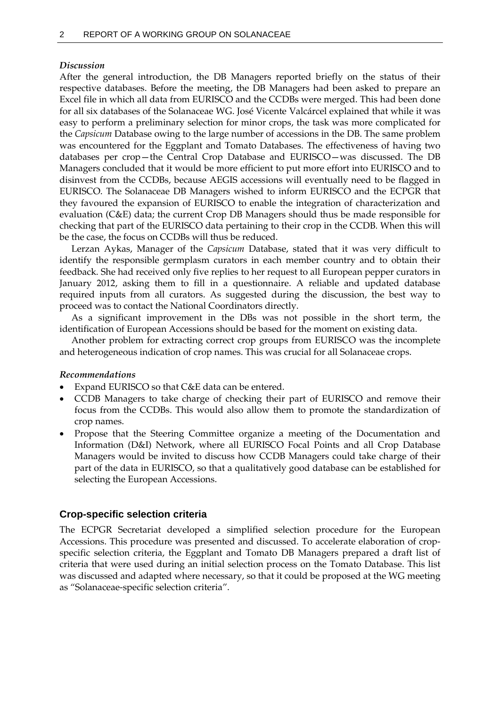### *Discussion*

After the general introduction, the DB Managers reported briefly on the status of their respective databases. Before the meeting, the DB Managers had been asked to prepare an Excel file in which all data from EURISCO and the CCDBs were merged. This had been done for all six databases of the Solanaceae WG. José Vicente Valcárcel explained that while it was easy to perform a preliminary selection for minor crops, the task was more complicated for the *Capsicum* Database owing to the large number of accessions in the DB. The same problem was encountered for the Eggplant and Tomato Databases. The effectiveness of having two databases per crop—the Central Crop Database and EURISCO—was discussed. The DB Managers concluded that it would be more efficient to put more effort into EURISCO and to disinvest from the CCDBs, because AEGIS accessions will eventually need to be flagged in EURISCO. The Solanaceae DB Managers wished to inform EURISCO and the ECPGR that they favoured the expansion of EURISCO to enable the integration of characterization and evaluation (C&E) data; the current Crop DB Managers should thus be made responsible for checking that part of the EURISCO data pertaining to their crop in the CCDB. When this will be the case, the focus on CCDBs will thus be reduced.

Lerzan Aykas, Manager of the *Capsicum* Database, stated that it was very difficult to identify the responsible germplasm curators in each member country and to obtain their feedback. She had received only five replies to her request to all European pepper curators in January 2012, asking them to fill in a questionnaire. A reliable and updated database required inputs from all curators. As suggested during the discussion, the best way to proceed was to contact the National Coordinators directly.

As a significant improvement in the DBs was not possible in the short term, the identification of European Accessions should be based for the moment on existing data.

Another problem for extracting correct crop groups from EURISCO was the incomplete and heterogeneous indication of crop names. This was crucial for all Solanaceae crops.

### *Recommendations*

- Expand EURISCO so that C&E data can be entered.
- CCDB Managers to take charge of checking their part of EURISCO and remove their focus from the CCDBs. This would also allow them to promote the standardization of crop names.
- Propose that the Steering Committee organize a meeting of the Documentation and Information (D&I) Network, where all EURISCO Focal Points and all Crop Database Managers would be invited to discuss how CCDB Managers could take charge of their part of the data in EURISCO, so that a qualitatively good database can be established for selecting the European Accessions.

## **Crop-specific selection criteria**

The ECPGR Secretariat developed a simplified selection procedure for the European Accessions. This procedure was presented and discussed. To accelerate elaboration of cropspecific selection criteria, the Eggplant and Tomato DB Managers prepared a draft list of criteria that were used during an initial selection process on the Tomato Database. This list was discussed and adapted where necessary, so that it could be proposed at the WG meeting as "Solanaceae-specific selection criteria".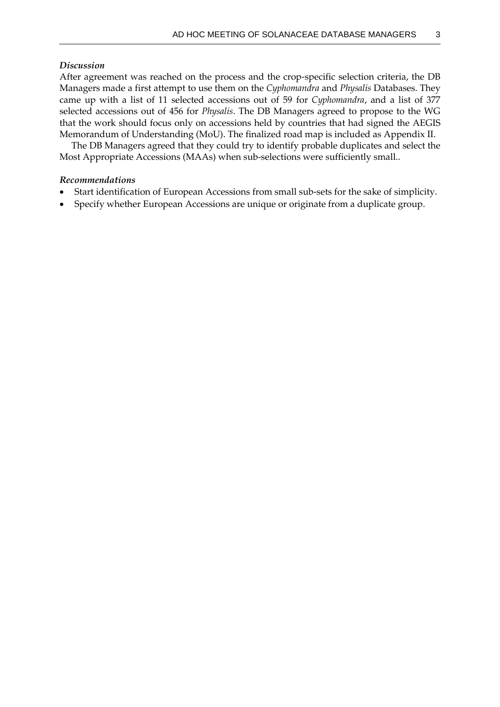## *Discussion*

After agreement was reached on the process and the crop-specific selection criteria, the DB Managers made a first attempt to use them on the *Cyphomandra* and *Physalis* Databases. They came up with a list of 11 selected accessions out of 59 for *Cyphomandra*, and a list of 377 selected accessions out of 456 for *Physalis*. The DB Managers agreed to propose to the WG that the work should focus only on accessions held by countries that had signed the AEGIS Memorandum of Understanding (MoU). The finalized road map is included as Appendix II.

The DB Managers agreed that they could try to identify probable duplicates and select the Most Appropriate Accessions (MAAs) when sub-selections were sufficiently small..

## *Recommendations*

- Start identification of European Accessions from small sub-sets for the sake of simplicity.
- Specify whether European Accessions are unique or originate from a duplicate group.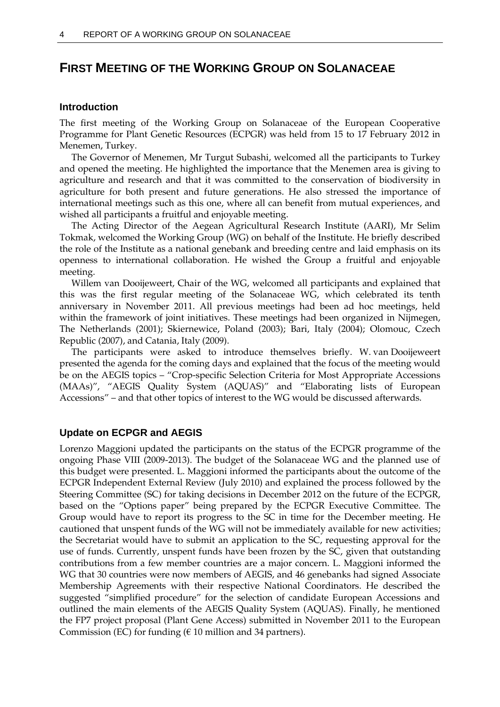# **FIRST MEETING OF THE WORKING GROUP ON SOLANACEAE**

### **Introduction**

The first meeting of the Working Group on Solanaceae of the European Cooperative Programme for Plant Genetic Resources (ECPGR) was held from 15 to 17 February 2012 in Menemen, Turkey.

The Governor of Menemen, Mr Turgut Subashi, welcomed all the participants to Turkey and opened the meeting. He highlighted the importance that the Menemen area is giving to agriculture and research and that it was committed to the conservation of biodiversity in agriculture for both present and future generations. He also stressed the importance of international meetings such as this one, where all can benefit from mutual experiences, and wished all participants a fruitful and enjoyable meeting.

The Acting Director of the Aegean Agricultural Research Institute (AARI), Mr Selim Tokmak, welcomed the Working Group (WG) on behalf of the Institute. He briefly described the role of the Institute as a national genebank and breeding centre and laid emphasis on its openness to international collaboration. He wished the Group a fruitful and enjoyable meeting.

Willem van Dooijeweert, Chair of the WG, welcomed all participants and explained that this was the first regular meeting of the Solanaceae WG, which celebrated its tenth anniversary in November 2011. All previous meetings had been ad hoc meetings, held within the framework of joint initiatives. These meetings had been organized in Nijmegen, The Netherlands (2001); Skiernewice, Poland (2003); Bari, Italy (2004); Olomouc, Czech Republic (2007), and Catania, Italy (2009).

The participants were asked to introduce themselves briefly. W. van Dooijeweert presented the agenda for the coming days and explained that the focus of the meeting would be on the AEGIS topics – "Crop-specific Selection Criteria for Most Appropriate Accessions (MAAs)", "AEGIS Quality System (AQUAS)" and "Elaborating lists of European Accessions" – and that other topics of interest to the WG would be discussed afterwards.

## **Update on ECPGR and AEGIS**

Lorenzo Maggioni updated the participants on the status of the ECPGR programme of the ongoing Phase VIII (2009-2013). The budget of the Solanaceae WG and the planned use of this budget were presented. L. Maggioni informed the participants about the outcome of the ECPGR Independent External Review (July 2010) and explained the process followed by the Steering Committee (SC) for taking decisions in December 2012 on the future of the ECPGR, based on the "Options paper" being prepared by the ECPGR Executive Committee. The Group would have to report its progress to the SC in time for the December meeting. He cautioned that unspent funds of the WG will not be immediately available for new activities; the Secretariat would have to submit an application to the SC, requesting approval for the use of funds. Currently, unspent funds have been frozen by the SC, given that outstanding contributions from a few member countries are a major concern. L. Maggioni informed the WG that 30 countries were now members of AEGIS, and 46 genebanks had signed Associate Membership Agreements with their respective National Coordinators. He described the suggested "simplified procedure" for the selection of candidate European Accessions and outlined the main elements of the AEGIS Quality System (AQUAS). Finally, he mentioned the FP7 project proposal (Plant Gene Access) submitted in November 2011 to the European Commission (EC) for funding ( $\epsilon$  10 million and 34 partners).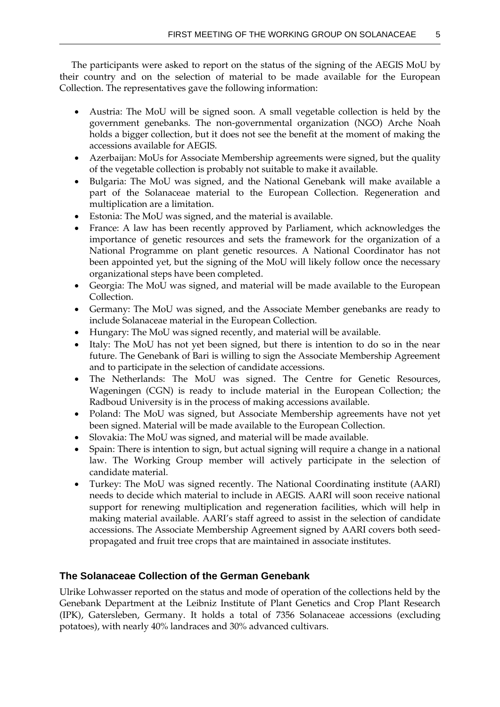The participants were asked to report on the status of the signing of the AEGIS MoU by their country and on the selection of material to be made available for the European Collection. The representatives gave the following information:

- Austria: The MoU will be signed soon. A small vegetable collection is held by the government genebanks. The non-governmental organization (NGO) Arche Noah holds a bigger collection, but it does not see the benefit at the moment of making the accessions available for AEGIS.
- Azerbaijan: MoUs for Associate Membership agreements were signed, but the quality of the vegetable collection is probably not suitable to make it available.
- Bulgaria: The MoU was signed, and the National Genebank will make available a part of the Solanaceae material to the European Collection. Regeneration and multiplication are a limitation.
- Estonia: The MoU was signed, and the material is available.
- France: A law has been recently approved by Parliament, which acknowledges the importance of genetic resources and sets the framework for the organization of a National Programme on plant genetic resources. A National Coordinator has not been appointed yet, but the signing of the MoU will likely follow once the necessary organizational steps have been completed.
- Georgia: The MoU was signed, and material will be made available to the European Collection.
- Germany: The MoU was signed, and the Associate Member genebanks are ready to include Solanaceae material in the European Collection.
- Hungary: The MoU was signed recently, and material will be available.
- Italy: The MoU has not yet been signed, but there is intention to do so in the near future. The Genebank of Bari is willing to sign the Associate Membership Agreement and to participate in the selection of candidate accessions.
- The Netherlands: The MoU was signed. The Centre for Genetic Resources, Wageningen (CGN) is ready to include material in the European Collection; the Radboud University is in the process of making accessions available.
- Poland: The MoU was signed, but Associate Membership agreements have not yet been signed. Material will be made available to the European Collection.
- Slovakia: The MoU was signed, and material will be made available.
- Spain: There is intention to sign, but actual signing will require a change in a national law. The Working Group member will actively participate in the selection of candidate material.
- Turkey: The MoU was signed recently. The National Coordinating institute (AARI) needs to decide which material to include in AEGIS. AARI will soon receive national support for renewing multiplication and regeneration facilities, which will help in making material available. AARI's staff agreed to assist in the selection of candidate accessions. The Associate Membership Agreement signed by AARI covers both seedpropagated and fruit tree crops that are maintained in associate institutes.

# **The Solanaceae Collection of the German Genebank**

Ulrike Lohwasser reported on the status and mode of operation of the collections held by the Genebank Department at the Leibniz Institute of Plant Genetics and Crop Plant Research (IPK), Gatersleben, Germany. It holds a total of 7356 Solanaceae accessions (excluding potatoes), with nearly 40% landraces and 30% advanced cultivars.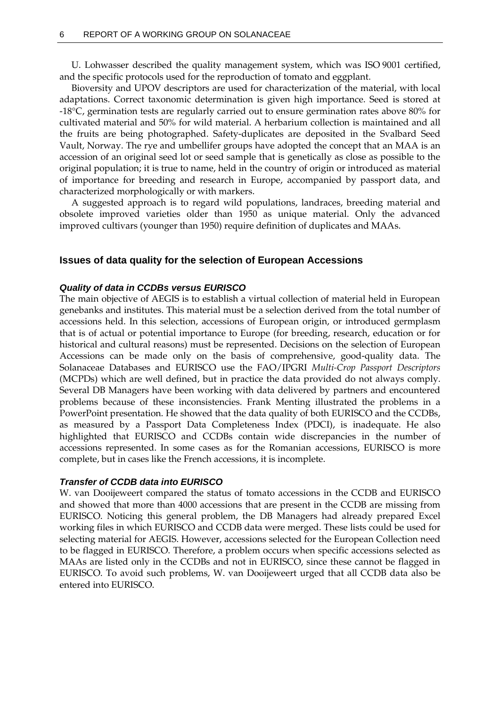U. Lohwasser described the quality management system, which was ISO 9001 certified, and the specific protocols used for the reproduction of tomato and eggplant.

Bioversity and UPOV descriptors are used for characterization of the material, with local adaptations. Correct taxonomic determination is given high importance. Seed is stored at -18°C, germination tests are regularly carried out to ensure germination rates above 80% for cultivated material and 50% for wild material. A herbarium collection is maintained and all the fruits are being photographed. Safety-duplicates are deposited in the Svalbard Seed Vault, Norway. The rye and umbellifer groups have adopted the concept that an MAA is an accession of an original seed lot or seed sample that is genetically as close as possible to the original population; it is true to name, held in the country of origin or introduced as material of importance for breeding and research in Europe, accompanied by passport data, and characterized morphologically or with markers.

A suggested approach is to regard wild populations, landraces, breeding material and obsolete improved varieties older than 1950 as unique material. Only the advanced improved cultivars (younger than 1950) require definition of duplicates and MAAs.

### **Issues of data quality for the selection of European Accessions**

### *Quality of data in CCDBs versus EURISCO*

The main objective of AEGIS is to establish a virtual collection of material held in European genebanks and institutes. This material must be a selection derived from the total number of accessions held. In this selection, accessions of European origin, or introduced germplasm that is of actual or potential importance to Europe (for breeding, research, education or for historical and cultural reasons) must be represented. Decisions on the selection of European Accessions can be made only on the basis of comprehensive, good-quality data. The Solanaceae Databases and EURISCO use the FAO/IPGRI *Multi-Crop Passport Descriptors* (MCPDs) which are well defined, but in practice the data provided do not always comply. Several DB Managers have been working with data delivered by partners and encountered problems because of these inconsistencies. Frank Menting illustrated the problems in a PowerPoint presentation. He showed that the data quality of both EURISCO and the CCDBs, as measured by a Passport Data Completeness Index (PDCI), is inadequate. He also highlighted that EURISCO and CCDBs contain wide discrepancies in the number of accessions represented. In some cases as for the Romanian accessions, EURISCO is more complete, but in cases like the French accessions, it is incomplete.

### *Transfer of CCDB data into EURISCO*

W. van Dooijeweert compared the status of tomato accessions in the CCDB and EURISCO and showed that more than 4000 accessions that are present in the CCDB are missing from EURISCO. Noticing this general problem, the DB Managers had already prepared Excel working files in which EURISCO and CCDB data were merged. These lists could be used for selecting material for AEGIS. However, accessions selected for the European Collection need to be flagged in EURISCO. Therefore, a problem occurs when specific accessions selected as MAAs are listed only in the CCDBs and not in EURISCO, since these cannot be flagged in EURISCO. To avoid such problems, W. van Dooijeweert urged that all CCDB data also be entered into EURISCO.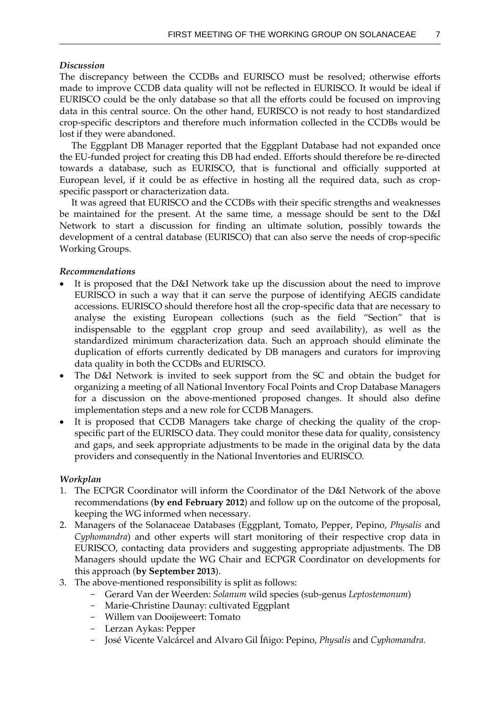### *Discussion*

The discrepancy between the CCDBs and EURISCO must be resolved; otherwise efforts made to improve CCDB data quality will not be reflected in EURISCO. It would be ideal if EURISCO could be the only database so that all the efforts could be focused on improving data in this central source. On the other hand, EURISCO is not ready to host standardized crop-specific descriptors and therefore much information collected in the CCDBs would be lost if they were abandoned.

The Eggplant DB Manager reported that the Eggplant Database had not expanded once the EU-funded project for creating this DB had ended. Efforts should therefore be re-directed towards a database, such as EURISCO, that is functional and officially supported at European level, if it could be as effective in hosting all the required data, such as cropspecific passport or characterization data.

It was agreed that EURISCO and the CCDBs with their specific strengths and weaknesses be maintained for the present. At the same time, a message should be sent to the D&I Network to start a discussion for finding an ultimate solution, possibly towards the development of a central database (EURISCO) that can also serve the needs of crop-specific Working Groups.

### *Recommendations*

- It is proposed that the D&I Network take up the discussion about the need to improve EURISCO in such a way that it can serve the purpose of identifying AEGIS candidate accessions. EURISCO should therefore host all the crop-specific data that are necessary to analyse the existing European collections (such as the field "Section" that is indispensable to the eggplant crop group and seed availability), as well as the standardized minimum characterization data. Such an approach should eliminate the duplication of efforts currently dedicated by DB managers and curators for improving data quality in both the CCDBs and EURISCO.
- The D&I Network is invited to seek support from the SC and obtain the budget for organizing a meeting of all National Inventory Focal Points and Crop Database Managers for a discussion on the above-mentioned proposed changes. It should also define implementation steps and a new role for CCDB Managers.
- It is proposed that CCDB Managers take charge of checking the quality of the cropspecific part of the EURISCO data. They could monitor these data for quality, consistency and gaps, and seek appropriate adjustments to be made in the original data by the data providers and consequently in the National Inventories and EURISCO.

## *Workplan*

- 1. The ECPGR Coordinator will inform the Coordinator of the D&I Network of the above recommendations (**by end February 2012**) and follow up on the outcome of the proposal, keeping the WG informed when necessary.
- 2. Managers of the Solanaceae Databases (Eggplant, Tomato, Pepper, Pepino, *Physalis* and *Cyphomandra*) and other experts will start monitoring of their respective crop data in EURISCO, contacting data providers and suggesting appropriate adjustments. The DB Managers should update the WG Chair and ECPGR Coordinator on developments for this approach (**by September 2013**).
- 3. The above-mentioned responsibility is split as follows:
	- Gerard Van der Weerden: *Solanum* wild species (sub-genus *Leptostemonum*)
	- Marie-Christine Daunay: cultivated Eggplant
	- Willem van Dooijeweert: Tomato
	- Lerzan Aykas: Pepper
	- José Vicente Valcárcel and Alvaro Gil Íñigo: Pepino, *Physalis* and *Cyphomandra.*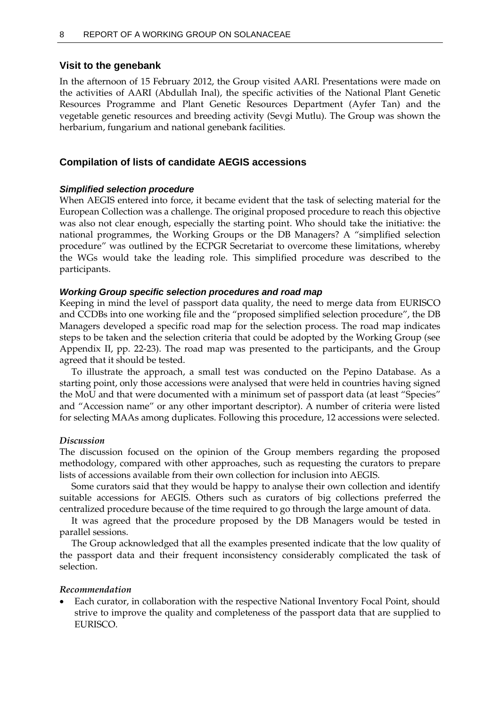### **Visit to the genebank**

In the afternoon of 15 February 2012, the Group visited AARI. Presentations were made on the activities of AARI (Abdullah Inal), the specific activities of the National Plant Genetic Resources Programme and Plant Genetic Resources Department (Ayfer Tan) and the vegetable genetic resources and breeding activity (Sevgi Mutlu). The Group was shown the herbarium, fungarium and national genebank facilities.

### **Compilation of lists of candidate AEGIS accessions**

### *Simplified selection procedure*

When AEGIS entered into force, it became evident that the task of selecting material for the European Collection was a challenge. The original proposed procedure to reach this objective was also not clear enough, especially the starting point. Who should take the initiative: the national programmes, the Working Groups or the DB Managers? A "simplified selection procedure" was outlined by the ECPGR Secretariat to overcome these limitations, whereby the WGs would take the leading role. This simplified procedure was described to the participants.

#### *Working Group specific selection procedures and road map*

Keeping in mind the level of passport data quality, the need to merge data from EURISCO and CCDBs into one working file and the "proposed simplified selection procedure", the DB Managers developed a specific road map for the selection process. The road map indicates steps to be taken and the selection criteria that could be adopted by the Working Group (see Appendix II, pp. 22-23). The road map was presented to the participants, and the Group agreed that it should be tested.

To illustrate the approach, a small test was conducted on the Pepino Database. As a starting point, only those accessions were analysed that were held in countries having signed the MoU and that were documented with a minimum set of passport data (at least "Species" and "Accession name" or any other important descriptor). A number of criteria were listed for selecting MAAs among duplicates. Following this procedure, 12 accessions were selected.

#### *Discussion*

The discussion focused on the opinion of the Group members regarding the proposed methodology, compared with other approaches, such as requesting the curators to prepare lists of accessions available from their own collection for inclusion into AEGIS.

Some curators said that they would be happy to analyse their own collection and identify suitable accessions for AEGIS. Others such as curators of big collections preferred the centralized procedure because of the time required to go through the large amount of data.

It was agreed that the procedure proposed by the DB Managers would be tested in parallel sessions.

The Group acknowledged that all the examples presented indicate that the low quality of the passport data and their frequent inconsistency considerably complicated the task of selection.

#### *Recommendation*

 Each curator, in collaboration with the respective National Inventory Focal Point, should strive to improve the quality and completeness of the passport data that are supplied to EURISCO.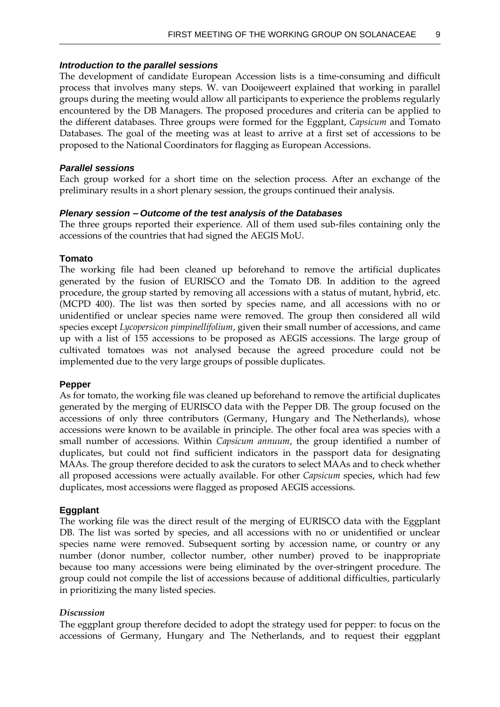## *Introduction to the parallel sessions*

The development of candidate European Accession lists is a time-consuming and difficult process that involves many steps. W. van Dooijeweert explained that working in parallel groups during the meeting would allow all participants to experience the problems regularly encountered by the DB Managers. The proposed procedures and criteria can be applied to the different databases. Three groups were formed for the Eggplant, *Capsicum* and Tomato Databases. The goal of the meeting was at least to arrive at a first set of accessions to be proposed to the National Coordinators for flagging as European Accessions.

### *Parallel sessions*

Each group worked for a short time on the selection process. After an exchange of the preliminary results in a short plenary session, the groups continued their analysis.

### *Plenary session – Outcome of the test analysis of the Databases*

The three groups reported their experience. All of them used sub-files containing only the accessions of the countries that had signed the AEGIS MoU.

## **Tomato**

The working file had been cleaned up beforehand to remove the artificial duplicates generated by the fusion of EURISCO and the Tomato DB. In addition to the agreed procedure, the group started by removing all accessions with a status of mutant, hybrid, etc. (MCPD 400). The list was then sorted by species name, and all accessions with no or unidentified or unclear species name were removed. The group then considered all wild species except *Lycopersicon pimpinellifolium*, given their small number of accessions, and came up with a list of 155 accessions to be proposed as AEGIS accessions. The large group of cultivated tomatoes was not analysed because the agreed procedure could not be implemented due to the very large groups of possible duplicates.

## **Pepper**

As for tomato, the working file was cleaned up beforehand to remove the artificial duplicates generated by the merging of EURISCO data with the Pepper DB. The group focused on the accessions of only three contributors (Germany, Hungary and The Netherlands), whose accessions were known to be available in principle. The other focal area was species with a small number of accessions. Within *Capsicum annuum*, the group identified a number of duplicates, but could not find sufficient indicators in the passport data for designating MAAs. The group therefore decided to ask the curators to select MAAs and to check whether all proposed accessions were actually available. For other *Capsicum* species, which had few duplicates, most accessions were flagged as proposed AEGIS accessions.

## **Eggplant**

The working file was the direct result of the merging of EURISCO data with the Eggplant DB. The list was sorted by species, and all accessions with no or unidentified or unclear species name were removed. Subsequent sorting by accession name, or country or any number (donor number, collector number, other number) proved to be inappropriate because too many accessions were being eliminated by the over-stringent procedure. The group could not compile the list of accessions because of additional difficulties, particularly in prioritizing the many listed species.

## *Discussion*

The eggplant group therefore decided to adopt the strategy used for pepper: to focus on the accessions of Germany, Hungary and The Netherlands, and to request their eggplant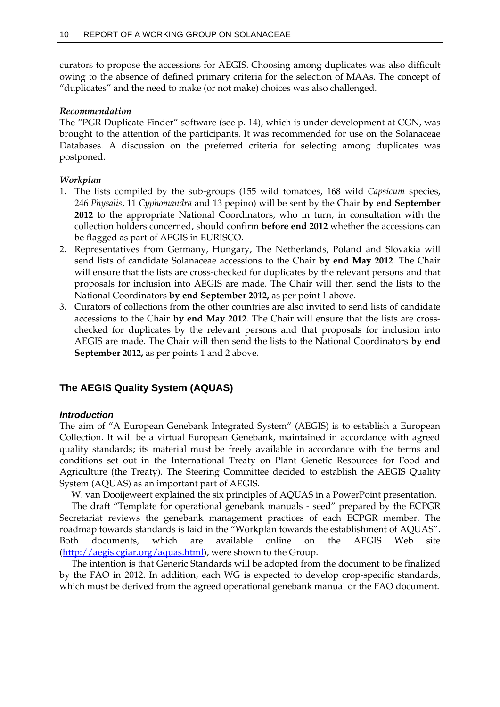curators to propose the accessions for AEGIS. Choosing among duplicates was also difficult owing to the absence of defined primary criteria for the selection of MAAs. The concept of "duplicates" and the need to make (or not make) choices was also challenged.

# *Recommendation*

The "PGR Duplicate Finder" software (see p. 14), which is under development at CGN, was brought to the attention of the participants. It was recommended for use on the Solanaceae Databases. A discussion on the preferred criteria for selecting among duplicates was postponed.

# *Workplan*

- 1. The lists compiled by the sub-groups (155 wild tomatoes, 168 wild *Capsicum* species, 246 *Physalis*, 11 *Cyphomandra* and 13 pepino) will be sent by the Chair **by end September 2012** to the appropriate National Coordinators, who in turn, in consultation with the collection holders concerned, should confirm **before end 2012** whether the accessions can be flagged as part of AEGIS in EURISCO.
- 2. Representatives from Germany, Hungary, The Netherlands, Poland and Slovakia will send lists of candidate Solanaceae accessions to the Chair **by end May 2012**. The Chair will ensure that the lists are cross-checked for duplicates by the relevant persons and that proposals for inclusion into AEGIS are made. The Chair will then send the lists to the National Coordinators **by end September 2012,** as per point 1 above.
- 3. Curators of collections from the other countries are also invited to send lists of candidate accessions to the Chair **by end May 2012**. The Chair will ensure that the lists are crosschecked for duplicates by the relevant persons and that proposals for inclusion into AEGIS are made. The Chair will then send the lists to the National Coordinators **by end September 2012,** as per points 1 and 2 above.

# **The AEGIS Quality System (AQUAS)**

# *Introduction*

The aim of "A European Genebank Integrated System" (AEGIS) is to establish a European Collection. It will be a virtual European Genebank, maintained in accordance with agreed quality standards; its material must be freely available in accordance with the terms and conditions set out in the International Treaty on Plant Genetic Resources for Food and Agriculture (the Treaty). The Steering Committee decided to establish the AEGIS Quality System (AQUAS) as an important part of AEGIS.

W. van Dooijeweert explained the six principles of AQUAS in a PowerPoint presentation.

The draft "Template for operational genebank manuals - seed" prepared by the ECPGR Secretariat reviews the genebank management practices of each ECPGR member. The roadmap towards standards is laid in the "Workplan towards the establishment of AQUAS". Both documents, which are available online on the AEGIS Web site [\(http://aegis.cgiar.org/aquas.html\)](http://aegis.cgiar.org/aquas.html), were shown to the Group.

The intention is that Generic Standards will be adopted from the document to be finalized by the FAO in 2012. In addition, each WG is expected to develop crop-specific standards, which must be derived from the agreed operational genebank manual or the FAO document.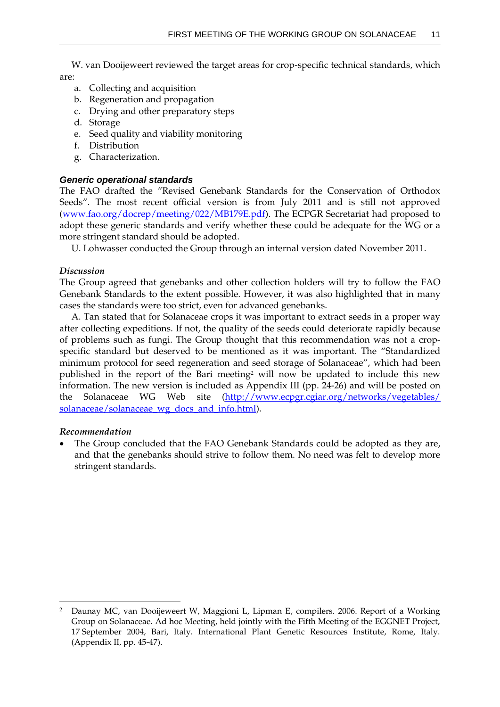W. van Dooijeweert reviewed the target areas for crop-specific technical standards, which are:

- a. Collecting and acquisition
- b. Regeneration and propagation
- c. Drying and other preparatory steps
- d. Storage
- e. Seed quality and viability monitoring
- f. Distribution
- g. Characterization.

### *Generic operational standards*

The FAO drafted the "Revised Genebank Standards for the Conservation of Orthodox Seeds". The most recent official version is from July 2011 and is still not approved [\(www.fao.org/docrep/meeting/022/MB179E.pdf\)](http://www.fao.org/docrep/meeting/022/MB179E.pdf). The ECPGR Secretariat had proposed to adopt these generic standards and verify whether these could be adequate for the WG or a more stringent standard should be adopted.

U. Lohwasser conducted the Group through an internal version dated November 2011.

### *Discussion*

The Group agreed that genebanks and other collection holders will try to follow the FAO Genebank Standards to the extent possible. However, it was also highlighted that in many cases the standards were too strict, even for advanced genebanks.

A. Tan stated that for Solanaceae crops it was important to extract seeds in a proper way after collecting expeditions. If not, the quality of the seeds could deteriorate rapidly because of problems such as fungi. The Group thought that this recommendation was not a cropspecific standard but deserved to be mentioned as it was important. The "Standardized minimum protocol for seed regeneration and seed storage of Solanaceae", which had been published in the report of the Bari meeting<sup>2</sup> will now be updated to include this new information. The new version is included as Appendix III (pp. 24-26) and will be posted on the Solanaceae WG Web site [\(http://www.ecpgr.cgiar.org/networks/vegetables/](http://www.ecpgr.cgiar.org/networks/vegetables/solanaceae/solanaceae_wg_docs_and_info.html) [solanaceae/solanaceae\\_wg\\_docs\\_and\\_info.html\)](http://www.ecpgr.cgiar.org/networks/vegetables/solanaceae/solanaceae_wg_docs_and_info.html).

#### *Recommendation*

1

 The Group concluded that the FAO Genebank Standards could be adopted as they are, and that the genebanks should strive to follow them. No need was felt to develop more stringent standards.

<sup>2</sup> Daunay MC, van Dooijeweert W, Maggioni L, Lipman E, compilers. 2006. Report of a Working Group on Solanaceae. Ad hoc Meeting, held jointly with the Fifth Meeting of the EGGNET Project, 17 September 2004, Bari, Italy. International Plant Genetic Resources Institute, Rome, Italy. (Appendix II, pp. 45-47).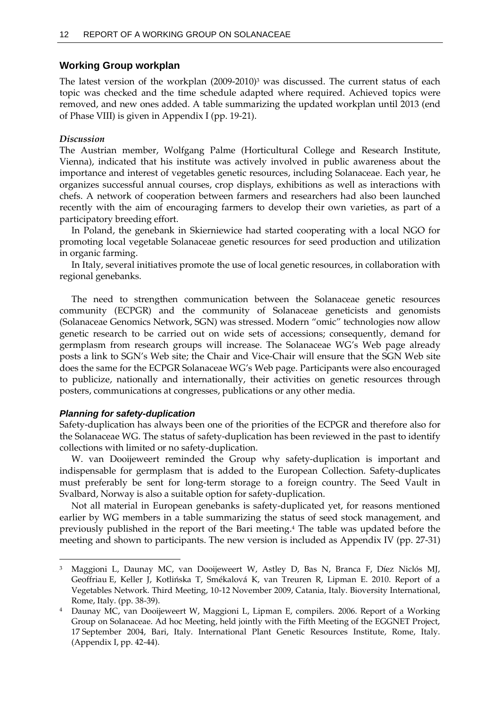### **Working Group workplan**

The latest version of the workplan (2009-2010) <sup>3</sup> was discussed. The current status of each topic was checked and the time schedule adapted where required. Achieved topics were removed, and new ones added. A table summarizing the updated workplan until 2013 (end of Phase VIII) is given in Appendix I (pp. 19-21).

### *Discussion*

The Austrian member, Wolfgang Palme (Horticultural College and Research Institute, Vienna), indicated that his institute was actively involved in public awareness about the importance and interest of vegetables genetic resources, including Solanaceae. Each year, he organizes successful annual courses, crop displays, exhibitions as well as interactions with chefs. A network of cooperation between farmers and researchers had also been launched recently with the aim of encouraging farmers to develop their own varieties, as part of a participatory breeding effort.

In Poland, the genebank in Skierniewice had started cooperating with a local NGO for promoting local vegetable Solanaceae genetic resources for seed production and utilization in organic farming.

In Italy, several initiatives promote the use of local genetic resources, in collaboration with regional genebanks.

The need to strengthen communication between the Solanaceae genetic resources community (ECPGR) and the community of Solanaceae geneticists and genomists (Solanaceae Genomics Network, SGN) was stressed. Modern "omic" technologies now allow genetic research to be carried out on wide sets of accessions; consequently, demand for germplasm from research groups will increase. The Solanaceae WG's Web page already posts a link to SGN's Web site; the Chair and Vice-Chair will ensure that the SGN Web site does the same for the ECPGR Solanaceae WG's Web page. Participants were also encouraged to publicize, nationally and internationally, their activities on genetic resources through posters, communications at congresses, publications or any other media.

### *Planning for safety-duplication*

 $\ddot{\phantom{a}}$ 

Safety-duplication has always been one of the priorities of the ECPGR and therefore also for the Solanaceae WG. The status of safety-duplication has been reviewed in the past to identify collections with limited or no safety-duplication.

W. van Dooijeweert reminded the Group why safety-duplication is important and indispensable for germplasm that is added to the European Collection. Safety-duplicates must preferably be sent for long-term storage to a foreign country. The Seed Vault in Svalbard, Norway is also a suitable option for safety-duplication.

Not all material in European genebanks is safety-duplicated yet, for reasons mentioned earlier by WG members in a table summarizing the status of seed stock management, and previously published in the report of the Bari meeting. <sup>4</sup> The table was updated before the meeting and shown to participants. The new version is included as Appendix IV (pp. 27-31)

<sup>3</sup> Maggioni L, Daunay MC, van Dooijeweert W, Astley D, Bas N, Branca F, Díez Niclós MJ, Geoffriau E, Keller J, Kotlińska T, Smékalová K, van Treuren R, Lipman E. 2010. Report of a Vegetables Network. Third Meeting, 10-12 November 2009, Catania, Italy. Bioversity International, Rome, Italy. (pp. 38-39).

<sup>4</sup> Daunay MC, van Dooijeweert W, Maggioni L, Lipman E, compilers. 2006. Report of a Working Group on Solanaceae. Ad hoc Meeting, held jointly with the Fifth Meeting of the EGGNET Project, 17 September 2004, Bari, Italy. International Plant Genetic Resources Institute, Rome, Italy. (Appendix I, pp. 42-44).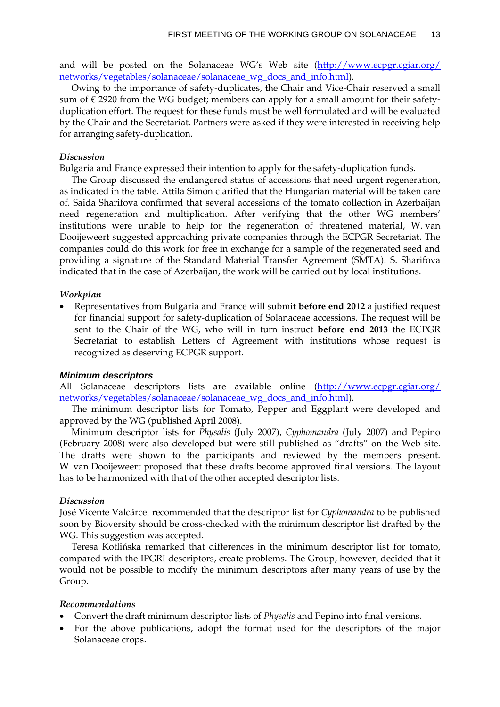and will be posted on the Solanaceae WG's Web site  $(\frac{http://www.ecpgr.cgiar.org/}{$  $(\frac{http://www.ecpgr.cgiar.org/}{$  $(\frac{http://www.ecpgr.cgiar.org/}{$ [networks/vegetables/solanaceae/solanaceae\\_wg\\_docs\\_and\\_info.html\)](http://www.ecpgr.cgiar.org/networks/vegetables/solanaceae/solanaceae_wg_docs_and_info.html).

Owing to the importance of safety-duplicates, the Chair and Vice-Chair reserved a small sum of  $\epsilon$  2920 from the WG budget; members can apply for a small amount for their safetyduplication effort. The request for these funds must be well formulated and will be evaluated by the Chair and the Secretariat. Partners were asked if they were interested in receiving help for arranging safety-duplication.

#### *Discussion*

Bulgaria and France expressed their intention to apply for the safety-duplication funds.

The Group discussed the endangered status of accessions that need urgent regeneration, as indicated in the table. Attila Simon clarified that the Hungarian material will be taken care of. Saida Sharifova confirmed that several accessions of the tomato collection in Azerbaijan need regeneration and multiplication. After verifying that the other WG members' institutions were unable to help for the regeneration of threatened material, W. van Dooijeweert suggested approaching private companies through the ECPGR Secretariat. The companies could do this work for free in exchange for a sample of the regenerated seed and providing a signature of the Standard Material Transfer Agreement (SMTA). S. Sharifova indicated that in the case of Azerbaijan, the work will be carried out by local institutions.

#### *Workplan*

 Representatives from Bulgaria and France will submit **before end 2012** a justified request for financial support for safety-duplication of Solanaceae accessions. The request will be sent to the Chair of the WG, who will in turn instruct **before end 2013** the ECPGR Secretariat to establish Letters of Agreement with institutions whose request is recognized as deserving ECPGR support.

#### *Minimum descriptors*

All Solanaceae descriptors lists are available online [\(http://www.ecpgr.cgiar.org/](http://www.ecpgr.cgiar.org/networks/vegetables/solanaceae/solanaceae_wg_docs_and_info.html) [networks/vegetables/solanaceae/solanaceae\\_wg\\_docs\\_and\\_info.html\)](http://www.ecpgr.cgiar.org/networks/vegetables/solanaceae/solanaceae_wg_docs_and_info.html).

The minimum descriptor lists for Tomato, Pepper and Eggplant were developed and approved by the WG (published April 2008).

Minimum descriptor lists for *Physalis* (July 2007), *Cyphomandra* (July 2007) and Pepino (February 2008) were also developed but were still published as "drafts" on the Web site. The drafts were shown to the participants and reviewed by the members present. W. van Dooijeweert proposed that these drafts become approved final versions. The layout has to be harmonized with that of the other accepted descriptor lists.

#### *Discussion*

José Vicente Valcárcel recommended that the descriptor list for *Cyphomandra* to be published soon by Bioversity should be cross-checked with the minimum descriptor list drafted by the WG. This suggestion was accepted.

Teresa Kotlińska remarked that differences in the minimum descriptor list for tomato, compared with the IPGRI descriptors, create problems. The Group, however, decided that it would not be possible to modify the minimum descriptors after many years of use by the Group.

### *Recommendations*

- Convert the draft minimum descriptor lists of *Physalis* and Pepino into final versions.
- For the above publications, adopt the format used for the descriptors of the major Solanaceae crops.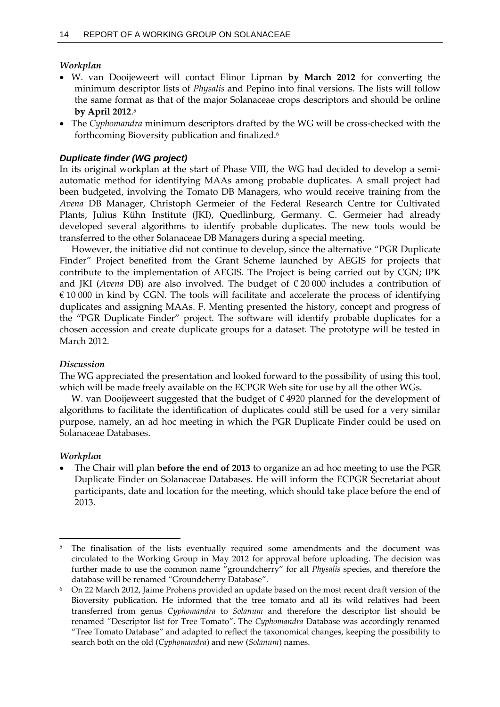# *Workplan*

- W. van Dooijeweert will contact Elinor Lipman **by March 2012** for converting the minimum descriptor lists of *Physalis* and Pepino into final versions. The lists will follow the same format as that of the major Solanaceae crops descriptors and should be online **by April 2012**. 5
- The *Cyphomandra* minimum descriptors drafted by the WG will be cross-checked with the forthcoming Bioversity publication and finalized.<sup>6</sup>

# *Duplicate finder (WG project)*

In its original workplan at the start of Phase VIII, the WG had decided to develop a semiautomatic method for identifying MAAs among probable duplicates. A small project had been budgeted, involving the Tomato DB Managers, who would receive training from the *Avena* DB Manager, Christoph Germeier of the Federal Research Centre for Cultivated Plants, Julius Kühn Institute (JKI), Quedlinburg, Germany. C. Germeier had already developed several algorithms to identify probable duplicates. The new tools would be transferred to the other Solanaceae DB Managers during a special meeting.

However, the initiative did not continue to develop, since the alternative "PGR Duplicate Finder" Project benefited from the Grant Scheme launched by AEGIS for projects that contribute to the implementation of AEGIS. The Project is being carried out by CGN; IPK and JKI (*Avena* DB) are also involved. The budget of € 20 000 includes a contribution of  $€ 10 000$  in kind by CGN. The tools will facilitate and accelerate the process of identifying duplicates and assigning MAAs. F. Menting presented the history, concept and progress of the "PGR Duplicate Finder" project. The software will identify probable duplicates for a chosen accession and create duplicate groups for a dataset. The prototype will be tested in March 2012.

## *Discussion*

The WG appreciated the presentation and looked forward to the possibility of using this tool, which will be made freely available on the ECPGR Web site for use by all the other WGs.

W. van Dooijeweert suggested that the budget of  $\epsilon$  4920 planned for the development of algorithms to facilitate the identification of duplicates could still be used for a very similar purpose, namely, an ad hoc meeting in which the PGR Duplicate Finder could be used on Solanaceae Databases.

## *Workplan*

 The Chair will plan **before the end of 2013** to organize an ad hoc meeting to use the PGR Duplicate Finder on Solanaceae Databases. He will inform the ECPGR Secretariat about participants, date and location for the meeting, which should take place before the end of 2013.

 $\ddot{\phantom{a}}$ <sup>5</sup> The finalisation of the lists eventually required some amendments and the document was circulated to the Working Group in May 2012 for approval before uploading. The decision was further made to use the common name "groundcherry" for all *Physalis* species, and therefore the database will be renamed "Groundcherry Database".

<sup>6</sup> On 22 March 2012, Jaime Prohens provided an update based on the most recent draft version of the Bioversity publication. He informed that the tree tomato and all its wild relatives had been transferred from genus *Cyphomandra* to *Solanum* and therefore the descriptor list should be renamed "Descriptor list for Tree Tomato". The *Cyphomandra* Database was accordingly renamed "Tree Tomato Database" and adapted to reflect the taxonomical changes, keeping the possibility to search both on the old (*Cyphomandra*) and new (*Solanum*) names.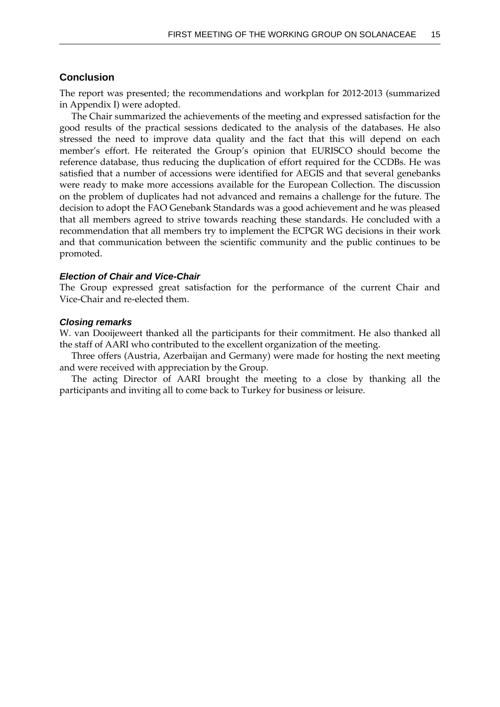## **Conclusion**

The report was presented; the recommendations and workplan for 2012-2013 (summarized in Appendix I) were adopted.

The Chair summarized the achievements of the meeting and expressed satisfaction for the good results of the practical sessions dedicated to the analysis of the databases. He also stressed the need to improve data quality and the fact that this will depend on each member's effort. He reiterated the Group's opinion that EURISCO should become the reference database, thus reducing the duplication of effort required for the CCDBs. He was satisfied that a number of accessions were identified for AEGIS and that several genebanks were ready to make more accessions available for the European Collection. The discussion on the problem of duplicates had not advanced and remains a challenge for the future. The decision to adopt the FAO Genebank Standards was a good achievement and he was pleased that all members agreed to strive towards reaching these standards. He concluded with a recommendation that all members try to implement the ECPGR WG decisions in their work and that communication between the scientific community and the public continues to be promoted.

#### *Election of Chair and Vice-Chair*

The Group expressed great satisfaction for the performance of the current Chair and Vice-Chair and re-elected them.

#### *Closing remarks*

W. van Dooijeweert thanked all the participants for their commitment. He also thanked all the staff of AARI who contributed to the excellent organization of the meeting.

Three offers (Austria, Azerbaijan and Germany) were made for hosting the next meeting and were received with appreciation by the Group.

The acting Director of AARI brought the meeting to a close by thanking all the participants and inviting all to come back to Turkey for business or leisure.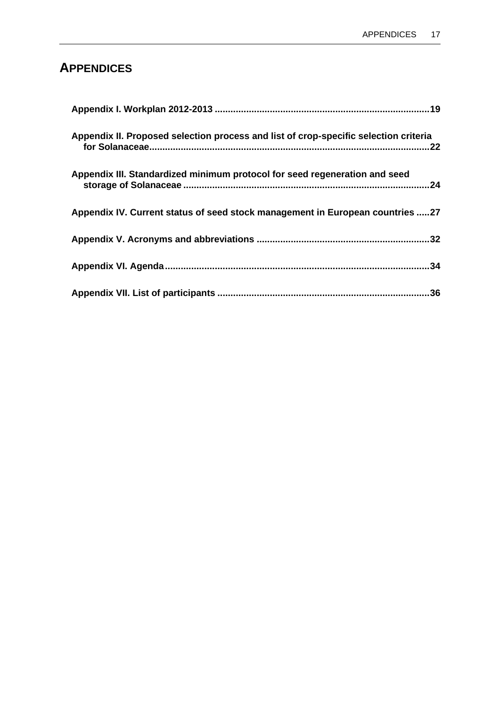# **APPENDICES**

| Appendix II. Proposed selection process and list of crop-specific selection criteria |  |
|--------------------------------------------------------------------------------------|--|
| Appendix III. Standardized minimum protocol for seed regeneration and seed           |  |
| Appendix IV. Current status of seed stock management in European countries 27        |  |
|                                                                                      |  |
|                                                                                      |  |
|                                                                                      |  |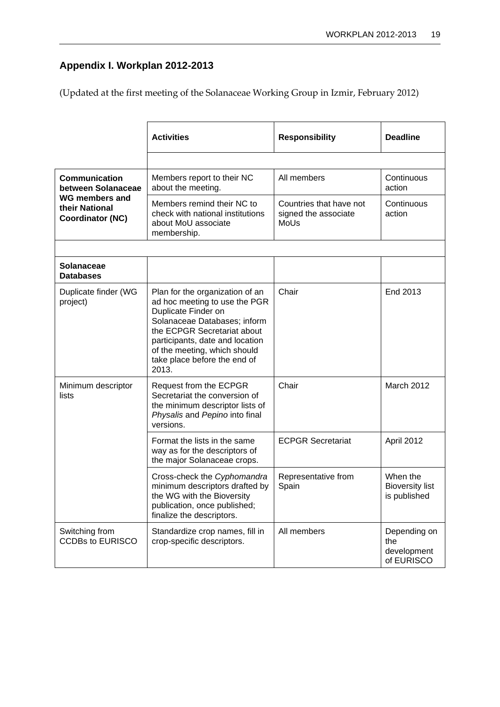# <span id="page-24-0"></span>**Appendix I. Workplan 2012-2013**

(Updated at the first meeting of the Solanaceae Working Group in Izmir, February 2012)

|                                                                    | <b>Activities</b>                                                                                                                                                                                                                                                  | <b>Responsibility</b>                                   | <b>Deadline</b>                                    |
|--------------------------------------------------------------------|--------------------------------------------------------------------------------------------------------------------------------------------------------------------------------------------------------------------------------------------------------------------|---------------------------------------------------------|----------------------------------------------------|
|                                                                    |                                                                                                                                                                                                                                                                    |                                                         |                                                    |
| <b>Communication</b><br>between Solanaceae                         | Members report to their NC<br>about the meeting.                                                                                                                                                                                                                   | All members                                             | Continuous<br>action                               |
| <b>WG members and</b><br>their National<br><b>Coordinator (NC)</b> | Members remind their NC to<br>check with national institutions<br>about MoU associate<br>membership.                                                                                                                                                               | Countries that have not<br>signed the associate<br>MoUs | Continuous<br>action                               |
|                                                                    |                                                                                                                                                                                                                                                                    |                                                         |                                                    |
| <b>Solanaceae</b><br><b>Databases</b>                              |                                                                                                                                                                                                                                                                    |                                                         |                                                    |
| Duplicate finder (WG<br>project)                                   | Plan for the organization of an<br>ad hoc meeting to use the PGR<br>Duplicate Finder on<br>Solanaceae Databases; inform<br>the ECPGR Secretariat about<br>participants, date and location<br>of the meeting, which should<br>take place before the end of<br>2013. | Chair                                                   | End 2013                                           |
| Minimum descriptor<br>lists                                        | Request from the ECPGR<br>Secretariat the conversion of<br>the minimum descriptor lists of<br>Physalis and Pepino into final<br>versions.                                                                                                                          | Chair                                                   | March 2012                                         |
|                                                                    | Format the lists in the same<br>way as for the descriptors of<br>the major Solanaceae crops.                                                                                                                                                                       | <b>ECPGR Secretariat</b>                                | April 2012                                         |
|                                                                    | Cross-check the Cyphomandra<br>minimum descriptors drafted by<br>the WG with the Bioversity<br>publication, once published;<br>finalize the descriptors.                                                                                                           | Representative from<br>Spain                            | When the<br><b>Bioversity list</b><br>is published |
| Switching from<br><b>CCDBs to EURISCO</b>                          | Standardize crop names, fill in<br>crop-specific descriptors.                                                                                                                                                                                                      | All members                                             | Depending on<br>the<br>development<br>of EURISCO   |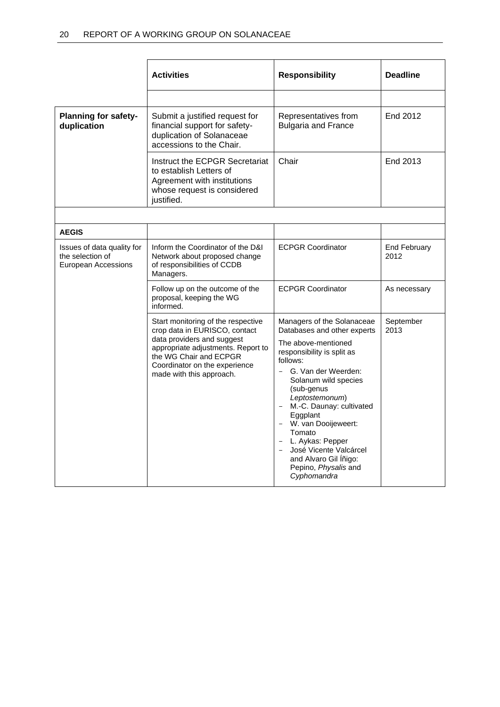|                                                                       | <b>Activities</b>                                                                                                                                                                                                              | <b>Responsibility</b>                                                                                                                                                                                                                                                                                                                                                                                | <b>Deadline</b>             |
|-----------------------------------------------------------------------|--------------------------------------------------------------------------------------------------------------------------------------------------------------------------------------------------------------------------------|------------------------------------------------------------------------------------------------------------------------------------------------------------------------------------------------------------------------------------------------------------------------------------------------------------------------------------------------------------------------------------------------------|-----------------------------|
|                                                                       |                                                                                                                                                                                                                                |                                                                                                                                                                                                                                                                                                                                                                                                      |                             |
| <b>Planning for safety-</b><br>duplication                            | Submit a justified request for<br>financial support for safety-<br>duplication of Solanaceae<br>accessions to the Chair.                                                                                                       | Representatives from<br><b>Bulgaria and France</b>                                                                                                                                                                                                                                                                                                                                                   | End 2012                    |
|                                                                       | Instruct the ECPGR Secretariat<br>to establish Letters of<br>Agreement with institutions<br>whose request is considered<br>justified.                                                                                          | Chair                                                                                                                                                                                                                                                                                                                                                                                                | End 2013                    |
|                                                                       |                                                                                                                                                                                                                                |                                                                                                                                                                                                                                                                                                                                                                                                      |                             |
| <b>AEGIS</b>                                                          |                                                                                                                                                                                                                                |                                                                                                                                                                                                                                                                                                                                                                                                      |                             |
| Issues of data quality for<br>the selection of<br>European Accessions | Inform the Coordinator of the D&I<br>Network about proposed change<br>of responsibilities of CCDB<br>Managers.                                                                                                                 | <b>ECPGR Coordinator</b>                                                                                                                                                                                                                                                                                                                                                                             | <b>End February</b><br>2012 |
|                                                                       | Follow up on the outcome of the<br>proposal, keeping the WG<br>informed.                                                                                                                                                       | <b>ECPGR Coordinator</b>                                                                                                                                                                                                                                                                                                                                                                             | As necessary                |
|                                                                       | Start monitoring of the respective<br>crop data in EURISCO, contact<br>data providers and suggest<br>appropriate adjustments. Report to<br>the WG Chair and ECPGR<br>Coordinator on the experience<br>made with this approach. | Managers of the Solanaceae<br>Databases and other experts<br>The above-mentioned<br>responsibility is split as<br>follows:<br>- G. Van der Weerden:<br>Solanum wild species<br>(sub-genus<br>Leptostemonum)<br>M.-C. Daunay: cultivated<br>Eggplant<br>- W. van Dooijeweert:<br>Tomato<br>L. Aykas: Pepper<br>José Vicente Valcárcel<br>and Alvaro Gil Iñigo:<br>Pepino, Physalis and<br>Cyphomandra | September<br>2013           |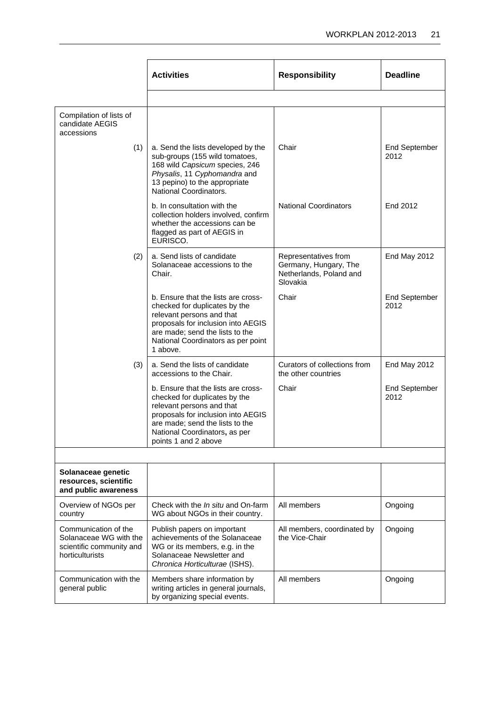|                                                                                               | <b>Activities</b>                                                                                                                                                                                                                   | <b>Responsibility</b>                                                                | <b>Deadline</b>              |
|-----------------------------------------------------------------------------------------------|-------------------------------------------------------------------------------------------------------------------------------------------------------------------------------------------------------------------------------------|--------------------------------------------------------------------------------------|------------------------------|
|                                                                                               |                                                                                                                                                                                                                                     |                                                                                      |                              |
| Compilation of lists of<br>candidate AEGIS<br>accessions                                      |                                                                                                                                                                                                                                     |                                                                                      |                              |
| (1)                                                                                           | a. Send the lists developed by the<br>sub-groups (155 wild tomatoes,<br>168 wild Capsicum species, 246<br>Physalis, 11 Cyphomandra and<br>13 pepino) to the appropriate<br>National Coordinators.                                   | Chair                                                                                | <b>End September</b><br>2012 |
|                                                                                               | b. In consultation with the<br>collection holders involved, confirm<br>whether the accessions can be<br>flagged as part of AEGIS in<br>EURISCO.                                                                                     | <b>National Coordinators</b>                                                         | End 2012                     |
| (2)                                                                                           | a. Send lists of candidate<br>Solanaceae accessions to the<br>Chair.                                                                                                                                                                | Representatives from<br>Germany, Hungary, The<br>Netherlands, Poland and<br>Slovakia | End May 2012                 |
|                                                                                               | b. Ensure that the lists are cross-<br>checked for duplicates by the<br>relevant persons and that<br>proposals for inclusion into AEGIS<br>are made; send the lists to the<br>National Coordinators as per point<br>1 above.        | Chair                                                                                | <b>End September</b><br>2012 |
| (3)                                                                                           | a. Send the lists of candidate<br>accessions to the Chair.                                                                                                                                                                          | Curators of collections from<br>the other countries                                  | End May 2012                 |
|                                                                                               | b. Ensure that the lists are cross-<br>checked for duplicates by the<br>relevant persons and that<br>proposals for inclusion into AEGIS<br>are made; send the lists to the<br>National Coordinators, as per<br>points 1 and 2 above | Chair                                                                                | <b>End September</b><br>2012 |
|                                                                                               |                                                                                                                                                                                                                                     |                                                                                      |                              |
| Solanaceae genetic<br>resources, scientific<br>and public awareness                           |                                                                                                                                                                                                                                     |                                                                                      |                              |
| Overview of NGOs per<br>country                                                               | Check with the <i>In situ</i> and On-farm<br>WG about NGOs in their country.                                                                                                                                                        | All members                                                                          | Ongoing                      |
| Communication of the<br>Solanaceae WG with the<br>scientific community and<br>horticulturists | Publish papers on important<br>achievements of the Solanaceae<br>WG or its members, e.g. in the<br>Solanaceae Newsletter and<br>Chronica Horticulturae (ISHS).                                                                      | All members, coordinated by<br>the Vice-Chair                                        | Ongoing                      |
| Communication with the<br>general public                                                      | Members share information by<br>writing articles in general journals,<br>by organizing special events.                                                                                                                              | All members                                                                          | Ongoing                      |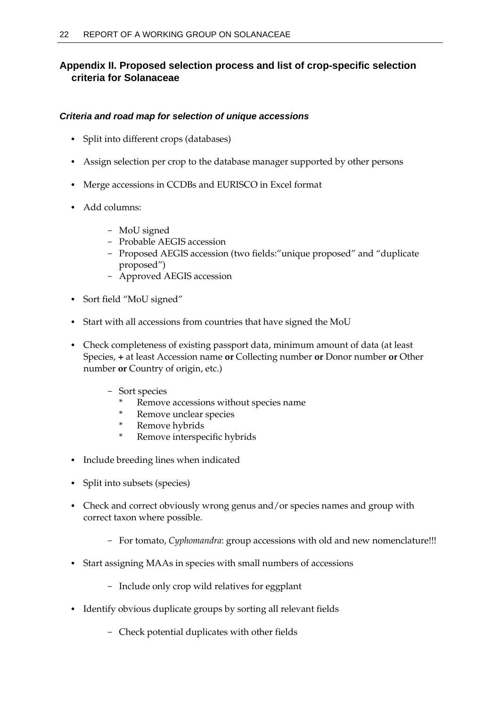# <span id="page-27-0"></span>**Appendix II. Proposed selection process and list of crop-specific selection criteria for Solanaceae**

# *Criteria and road map for selection of unique accessions*

- Split into different crops (databases)
- Assign selection per crop to the database manager supported by other persons
- Merge accessions in CCDBs and EURISCO in Excel format
- Add columns:
	- MoU signed
	- Probable AEGIS accession
	- Proposed AEGIS accession (two fields:"unique proposed" and "duplicate proposed")
	- Approved AEGIS accession
- Sort field "MoU signed"
- Start with all accessions from countries that have signed the MoU
- Check completeness of existing passport data, minimum amount of data (at least Species, **+** at least Accession name **or** Collecting number **or** Donor number **or** Other number **or** Country of origin, etc.)
	- Sort species
		- \* Remove accessions without species name
		- \* Remove unclear species
		- \* Remove hybrids
		- \* Remove interspecific hybrids
- Include breeding lines when indicated
- Split into subsets (species)
- Check and correct obviously wrong genus and/or species names and group with correct taxon where possible.
	- For tomato, *Cyphomandra*: group accessions with old and new nomenclature!!!
- Start assigning MAAs in species with small numbers of accessions
	- Include only crop wild relatives for eggplant
- Identify obvious duplicate groups by sorting all relevant fields
	- Check potential duplicates with other fields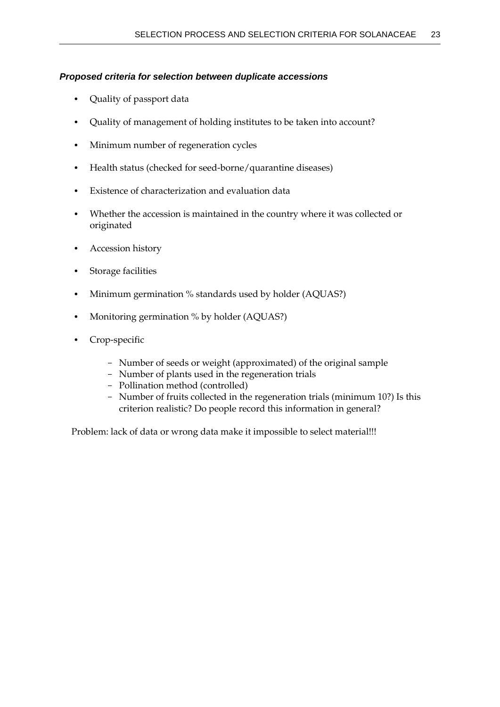# *Proposed criteria for selection between duplicate accessions*

- Quality of passport data
- Quality of management of holding institutes to be taken into account?
- Minimum number of regeneration cycles
- Health status (checked for seed-borne/quarantine diseases)
- Existence of characterization and evaluation data
- Whether the accession is maintained in the country where it was collected or originated
- Accession history
- Storage facilities
- Minimum germination % standards used by holder (AQUAS?)
- Monitoring germination % by holder (AQUAS?)
- Crop-specific
	- Number of seeds or weight (approximated) of the original sample
	- Number of plants used in the regeneration trials
	- Pollination method (controlled)
	- Number of fruits collected in the regeneration trials (minimum 10?) Is this criterion realistic? Do people record this information in general?

Problem: lack of data or wrong data make it impossible to select material!!!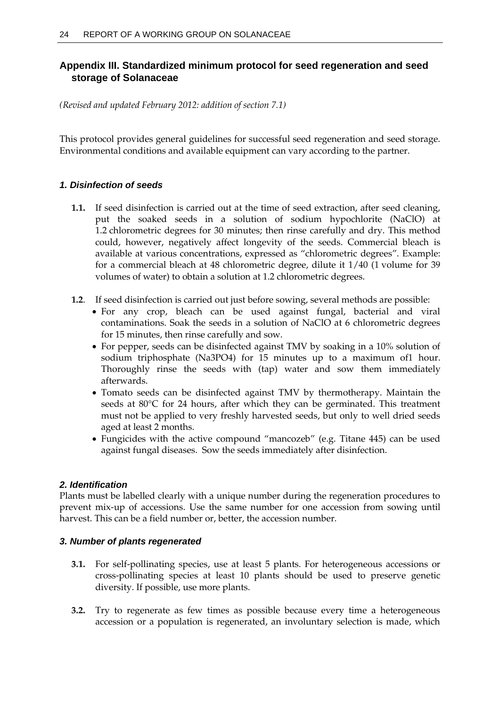# <span id="page-29-0"></span>**Appendix III. Standardized minimum protocol for seed regeneration and seed storage of Solanaceae**

*(Revised and updated February 2012: addition of section 7.1)*

This protocol provides general guidelines for successful seed regeneration and seed storage. Environmental conditions and available equipment can vary according to the partner.

# *1. Disinfection of seeds*

- **1.1.** If seed disinfection is carried out at the time of seed extraction, after seed cleaning, put the soaked seeds in a solution of sodium hypochlorite (NaClO) at 1.2 chlorometric degrees for 30 minutes; then rinse carefully and dry. This method could, however, negatively affect longevity of the seeds. Commercial bleach is available at various concentrations, expressed as "chlorometric degrees". Example: for a commercial bleach at 48 chlorometric degree, dilute it 1/40 (1 volume for 39 volumes of water) to obtain a solution at 1.2 chlorometric degrees.
- **1.2**. If seed disinfection is carried out just before sowing, several methods are possible:
	- For any crop, bleach can be used against fungal, bacterial and viral contaminations. Soak the seeds in a solution of NaClO at 6 chlorometric degrees for 15 minutes, then rinse carefully and sow.
	- For pepper, seeds can be disinfected against TMV by soaking in a 10% solution of sodium triphosphate (Na3PO4) for 15 minutes up to a maximum of1 hour. Thoroughly rinse the seeds with (tap) water and sow them immediately afterwards.
	- Tomato seeds can be disinfected against TMV by thermotherapy. Maintain the seeds at  $80^{\circ}$ C for 24 hours, after which they can be germinated. This treatment must not be applied to very freshly harvested seeds, but only to well dried seeds aged at least 2 months.
	- Fungicides with the active compound "mancozeb" (e.g. Titane 445) can be used against fungal diseases. Sow the seeds immediately after disinfection.

# *2. Identification*

Plants must be labelled clearly with a unique number during the regeneration procedures to prevent mix-up of accessions. Use the same number for one accession from sowing until harvest. This can be a field number or, better, the accession number.

# *3. Number of plants regenerated*

- **3.1.** For self-pollinating species, use at least 5 plants. For heterogeneous accessions or cross-pollinating species at least 10 plants should be used to preserve genetic diversity. If possible, use more plants.
- **3.2.** Try to regenerate as few times as possible because every time a heterogeneous accession or a population is regenerated, an involuntary selection is made, which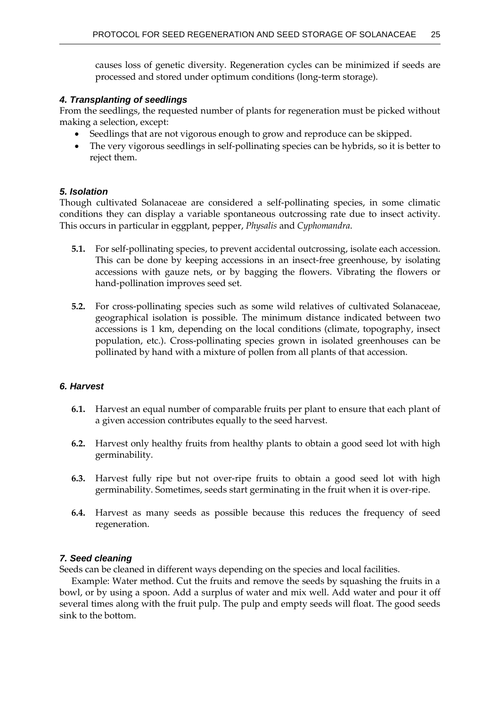causes loss of genetic diversity. Regeneration cycles can be minimized if seeds are processed and stored under optimum conditions (long-term storage).

# *4. Transplanting of seedlings*

From the seedlings, the requested number of plants for regeneration must be picked without making a selection, except:

- Seedlings that are not vigorous enough to grow and reproduce can be skipped.
- The very vigorous seedlings in self-pollinating species can be hybrids, so it is better to reject them.

# *5. Isolation*

Though cultivated Solanaceae are considered a self-pollinating species, in some climatic conditions they can display a variable spontaneous outcrossing rate due to insect activity. This occurs in particular in eggplant, pepper, *Physalis* and *Cyphomandra*.

- **5.1.** For self-pollinating species, to prevent accidental outcrossing, isolate each accession. This can be done by keeping accessions in an insect-free greenhouse, by isolating accessions with gauze nets, or by bagging the flowers. Vibrating the flowers or hand-pollination improves seed set.
- **5.2.** For cross-pollinating species such as some wild relatives of cultivated Solanaceae, geographical isolation is possible. The minimum distance indicated between two accessions is 1 km, depending on the local conditions (climate, topography, insect population, etc.). Cross-pollinating species grown in isolated greenhouses can be pollinated by hand with a mixture of pollen from all plants of that accession.

# *6. Harvest*

- **6.1.** Harvest an equal number of comparable fruits per plant to ensure that each plant of a given accession contributes equally to the seed harvest.
- **6.2.** Harvest only healthy fruits from healthy plants to obtain a good seed lot with high germinability.
- **6.3.** Harvest fully ripe but not over-ripe fruits to obtain a good seed lot with high germinability. Sometimes, seeds start germinating in the fruit when it is over-ripe.
- **6.4.** Harvest as many seeds as possible because this reduces the frequency of seed regeneration.

# *7. Seed cleaning*

Seeds can be cleaned in different ways depending on the species and local facilities.

Example: Water method. Cut the fruits and remove the seeds by squashing the fruits in a bowl, or by using a spoon. Add a surplus of water and mix well. Add water and pour it off several times along with the fruit pulp. The pulp and empty seeds will float. The good seeds sink to the bottom.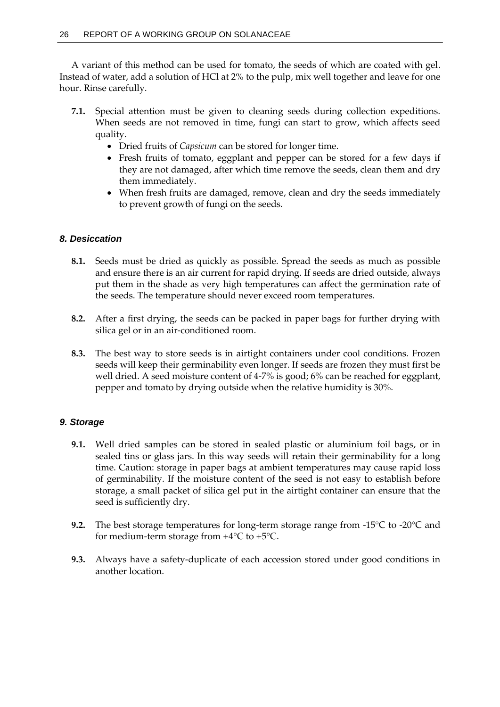A variant of this method can be used for tomato, the seeds of which are coated with gel. Instead of water, add a solution of HCl at 2% to the pulp, mix well together and leave for one hour. Rinse carefully.

- **7.1.** Special attention must be given to cleaning seeds during collection expeditions. When seeds are not removed in time, fungi can start to grow, which affects seed quality.
	- Dried fruits of *Capsicum* can be stored for longer time.
	- Fresh fruits of tomato, eggplant and pepper can be stored for a few days if they are not damaged, after which time remove the seeds, clean them and dry them immediately.
	- When fresh fruits are damaged, remove, clean and dry the seeds immediately to prevent growth of fungi on the seeds.

# *8. Desiccation*

- **8.1.** Seeds must be dried as quickly as possible. Spread the seeds as much as possible and ensure there is an air current for rapid drying. If seeds are dried outside, always put them in the shade as very high temperatures can affect the germination rate of the seeds. The temperature should never exceed room temperatures.
- **8.2.** After a first drying, the seeds can be packed in paper bags for further drying with silica gel or in an air-conditioned room.
- **8.3.** The best way to store seeds is in airtight containers under cool conditions. Frozen seeds will keep their germinability even longer. If seeds are frozen they must first be well dried. A seed moisture content of 4-7% is good; 6% can be reached for eggplant, pepper and tomato by drying outside when the relative humidity is 30%.

# *9. Storage*

- **9.1.** Well dried samples can be stored in sealed plastic or aluminium foil bags, or in sealed tins or glass jars. In this way seeds will retain their germinability for a long time. Caution: storage in paper bags at ambient temperatures may cause rapid loss of germinability. If the moisture content of the seed is not easy to establish before storage, a small packet of silica gel put in the airtight container can ensure that the seed is sufficiently dry.
- **9.2.** The best storage temperatures for long-term storage range from -15°C to -20°C and for medium-term storage from +4°C to +5°C.
- **9.3.** Always have a safety-duplicate of each accession stored under good conditions in another location.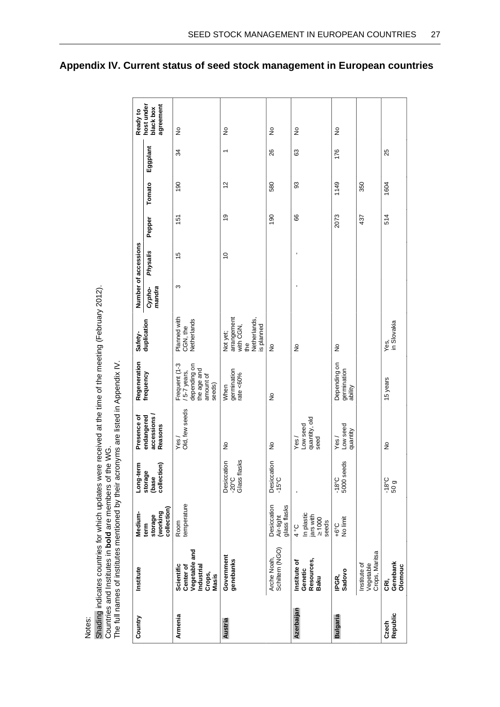| Notes:            |                                                                                                                                                                                                                                                           |                                                                |                                                |                                           |                                                                                     |                                                                          |                  |                      |        |             |          |                                      |
|-------------------|-----------------------------------------------------------------------------------------------------------------------------------------------------------------------------------------------------------------------------------------------------------|----------------------------------------------------------------|------------------------------------------------|-------------------------------------------|-------------------------------------------------------------------------------------|--------------------------------------------------------------------------|------------------|----------------------|--------|-------------|----------|--------------------------------------|
|                   | Shading indicates countries for which updates were received at the time of the meeting (February 2012).<br>The full names of institutes mentioned by their acronyms are listed in Appendix IV.<br>Countries and Institutes in bold are members of the WG. |                                                                |                                                |                                           |                                                                                     |                                                                          |                  |                      |        |             |          |                                      |
| Country           | Institute                                                                                                                                                                                                                                                 | Medium-                                                        | Long-term                                      | Presence of                               | Regeneration                                                                        | Safety-                                                                  |                  | Number of accessions |        |             |          | Ready to                             |
|                   |                                                                                                                                                                                                                                                           | collection)<br>(working<br>storage<br>term                     | collection)<br>storage<br>(base                | accessions/<br>endangered<br>Reasons      | frequency                                                                           | duplication                                                              | mandra<br>Cypho- | Physalis             | Pepper | Tomato      | Eggplant | agreement<br>host under<br>black box |
| Armenia           | Vegetable and<br>Scientific<br>Center of<br>Industrial<br>Crops,<br>Masis                                                                                                                                                                                 | temperature<br>Room                                            |                                                | Old, few seeds<br>Yes                     | Frequent (1-3<br>depending on<br>the age and<br>/ 5-7 years,<br>amount of<br>seeds) | Planned with<br>Netherlands<br>CGN, the                                  | S                | 15                   | 151    | 190         | 34       | $\frac{1}{2}$                        |
| Austria           | Government<br>genebanks                                                                                                                                                                                                                                   |                                                                | Glass flasks<br>Desiccation<br>$-20^{\circ}$ C | $\frac{1}{2}$                             | germination<br>rate $<60\%$<br>When                                                 | arrangement<br>Netherlands,<br>with CGN,<br>is planned<br>Not yet;<br>ŧe |                  | $\overline{0}$       | é,     | $\tilde{c}$ | ↽        | $\frac{1}{2}$                        |
|                   | Schiltern (NGO)<br>Arche Noah,                                                                                                                                                                                                                            | glass flasks<br>Desiccation<br>Air-tight                       | Desiccation<br>$-15^{\circ}$ C                 | ş                                         | $\frac{1}{2}$                                                                       | $\stackrel{\mathtt{o}}{z}$                                               |                  |                      | 190    | 580         | 26       | ş                                    |
| Azerbaijan        | Resources,<br>Institute of<br>Genetic<br>Baku                                                                                                                                                                                                             | In plastic<br>jars with<br>$\geq 1000$<br>seeds<br>$3^{\circ}$ |                                                | quantity, old<br>Low seed<br>Yes/<br>seed |                                                                                     | $\frac{1}{2}$                                                            |                  |                      | 8      | 93          | යි       | $\frac{1}{2}$                        |
| <b>Bulgaria</b>   | Sadovo<br>IPGR,                                                                                                                                                                                                                                           | +6°C<br>No limit                                               | $-18°C$<br>5000 seeds                          | Low seed<br>quantity<br>Yes/              | Depending on<br>germination<br>ability                                              | ş                                                                        |                  |                      | 2073   | 1149        | 176      | ş                                    |
|                   | Crops, Maritsa<br>Institute of<br>Vegetable                                                                                                                                                                                                               |                                                                |                                                |                                           |                                                                                     |                                                                          |                  |                      | 437    | 350         |          |                                      |
| Czech<br>Republic | Genebank<br>Olomouc<br>Œ,                                                                                                                                                                                                                                 |                                                                | $-18^{\circ}$ C<br>50 <sub>g</sub>             | $\frac{1}{2}$                             | 15 years                                                                            | Yes,<br>in Slovakia                                                      |                  |                      | 514    | 1604        | 25       |                                      |

<span id="page-32-0"></span>**Appendix IV. Current status of seed stock management in European countries**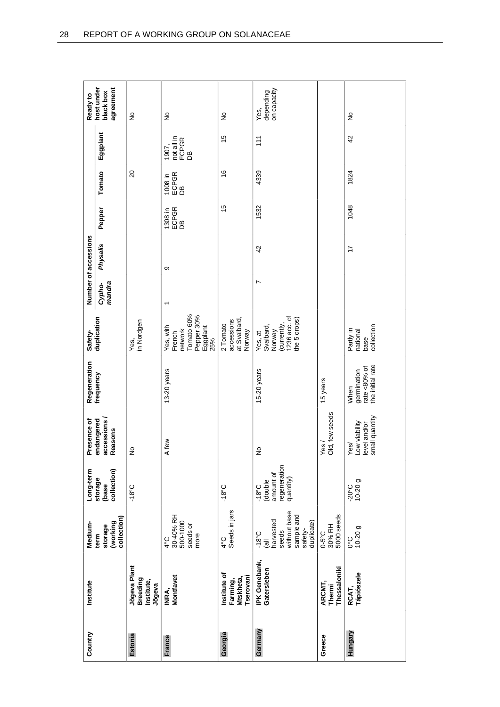| Country | Institute                                          | Medium-                                                                                                        | Long-term                                                            | Presence of                                            | Regeneration                                                | Safety-                                                                       |                  | Number of accessions |                        |                        |                                    | Ready to                             |
|---------|----------------------------------------------------|----------------------------------------------------------------------------------------------------------------|----------------------------------------------------------------------|--------------------------------------------------------|-------------------------------------------------------------|-------------------------------------------------------------------------------|------------------|----------------------|------------------------|------------------------|------------------------------------|--------------------------------------|
|         |                                                    | collection)<br>(working<br>storage<br>term                                                                     | collection)<br>storage<br>(base                                      | accessions<br>endangered<br>Reasons                    | frequency                                                   | duplication                                                                   | mandra<br>Cypho- | Physalis             | Pepper                 | Tomato                 | Eggplant                           | host under<br>agreement<br>black box |
| Estonia | Jõgeva Plant<br>Breeding<br>Institute,<br>Jõgeva   |                                                                                                                | $-18^{\circ}C$                                                       | ş                                                      |                                                             | in Nordgen<br>Yes,                                                            |                  |                      |                        | $\overline{c}$         |                                    | $\stackrel{\circ}{\simeq}$           |
| France  | Montfavet<br>INRA,                                 | 30-40% RH<br>500-1000<br>seeds or<br>more<br>$4^{\circ}C$                                                      |                                                                      | A few                                                  | 13-20 years                                                 | Tomato 60%<br>Pepper 30%<br>Eggplant<br>25%<br>Yes, with<br>network<br>French |                  | တ                    | 1308 in<br>ECPGR<br>DB | 1008 in<br>ECPGR<br>DB | not all in<br>ECPGR<br>DB<br>1907, | ş                                    |
| Georgia | Institute of<br>Tserovani<br>Mtskheta,<br>Farming, | Seeds in jars<br>$\frac{1}{6}$                                                                                 | $-18^{\circ}$ C                                                      |                                                        |                                                             | at Svalbard,<br>accessions<br>2 Tomato<br>Norway                              |                  |                      | 15                     | $\frac{6}{5}$          | $\frac{5}{3}$                      | ş                                    |
| Germany | IPK Genebank,<br>Gatersleben                       | without base<br>sample and<br>harvested<br>duplicate)<br>safety-<br>seeds<br>$-18^{\circ}$ C<br>$\overline{a}$ | regeneration<br>amount of<br>quantity)<br>(double<br>$-18^{\circ}$ C | ş                                                      | 15-20 years                                                 | 1236 acc. of<br>the 5 crops)<br>(currently,<br>Svalbard,<br>Norway<br>Yes, at | Ľ                | 42                   | 1532                   | 4339                   | 111                                | on capacity<br>depending<br>Yes,     |
| Greece  | Thessaloniki<br>ARCMT,<br>Thermi                   | 5000 seeds<br>0-5°C<br>30% RH                                                                                  |                                                                      | Old, few seeds<br>$\epsilon$ s                         | 15 years                                                    |                                                                               |                  |                      |                        |                        |                                    |                                      |
| Hungary | RCAT,<br>Tápiószele                                | $0^{\circ}C$<br>10-20 g                                                                                        | $-20^{\circ}$ C<br>10-20 g                                           | small quantity<br>Low viability<br>level and/or<br>\ee | the initial rate<br>rate < $80\%$ of<br>germination<br>When | collection<br>Partly in<br>national<br>base                                   |                  | $\overline{1}$       | 1048                   | 1824                   | 42                                 | $\frac{1}{2}$                        |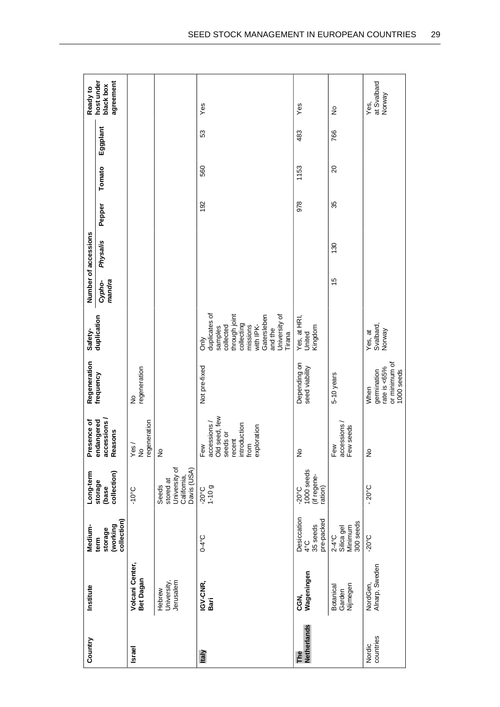| Country             | Institute                              | Medium-                                               | Long-term                                                         | Presence of                                                                                       | Regeneration                                                       | Safety-                                                                                                                                                   |                  | Number of accessions |        |                |          | Ready to                             |
|---------------------|----------------------------------------|-------------------------------------------------------|-------------------------------------------------------------------|---------------------------------------------------------------------------------------------------|--------------------------------------------------------------------|-----------------------------------------------------------------------------------------------------------------------------------------------------------|------------------|----------------------|--------|----------------|----------|--------------------------------------|
|                     |                                        | collection)<br>(working<br>storage<br>term            | collection)<br>storage<br>(base                                   | accessions<br>endangered<br>Reasons                                                               | frequency                                                          | duplication                                                                                                                                               | mandra<br>Cypho- | Physalis             | Pepper | Tomato         | Eggplant | host under<br>agreement<br>black box |
| <b>Israel</b>       | Volcani Center,<br>Bet Dagan           |                                                       | $-10^{\circ}$ C                                                   | regeneration<br>yes<br>≥ ≗                                                                        | regeneration<br>$\frac{1}{2}$                                      |                                                                                                                                                           |                  |                      |        |                |          |                                      |
|                     | Jerusalem<br>University,<br>Hebrew     |                                                       | University of<br>Davis (USA)<br>California,<br>stored at<br>Seeds | ş                                                                                                 |                                                                    |                                                                                                                                                           |                  |                      |        |                |          |                                      |
| Italy               | IGV-CNR,<br>Bari                       | $O-4$ °C                                              | $1 - 10g$<br>$-20^{\circ}$ C                                      | accessions /<br>Old seed, few<br>introduction<br>exploration<br>seeds or<br>recent<br>Few<br>from | Not pre-fixed                                                      | duplicates of<br>University of<br>through joint<br>Gatersleben<br>collecting<br>with IPK-<br>collected<br>missions<br>samples<br>and the<br>Tirana<br>òπ/ |                  |                      | 192    | 560            | 53       | Yes                                  |
| Netherlands<br>The  | Wageningen<br>CGN,                     | Desiccation<br>pre-packed<br>35 seeds<br>$4^{\circ}C$ | 1000 seeds<br>(if regene-<br>ration)<br>$-20^{\circ}$ C           | ş                                                                                                 | Depending on<br>seed viability                                     | Yes, at HRI,<br>Kingdom<br>United                                                                                                                         |                  |                      | 978    | 1153           | 483      | Yes                                  |
|                     | Nijmegen<br><b>Botanical</b><br>Garden | 300 seeds<br>Minimum<br>Silica gel<br>$2-4$ °C        |                                                                   | accessions /<br>Few seeds<br>Few                                                                  | 5-10 years                                                         |                                                                                                                                                           | $\frac{5}{3}$    | 130                  | 35     | $\overline{c}$ | 766      | $\frac{1}{2}$                        |
| countries<br>Nordic | Alnarp, Sweden<br>NordGen,             | $-20^{\circ}$ C                                       | $-20^{\circ}$ C                                                   | $\frac{1}{2}$                                                                                     | or minimum of<br>rate is <65%<br>1000 seeds<br>germination<br>When | Svalbard,<br>Norway<br>Yes, at                                                                                                                            |                  |                      |        |                |          | at Svalbard<br>Norway<br>Yes,        |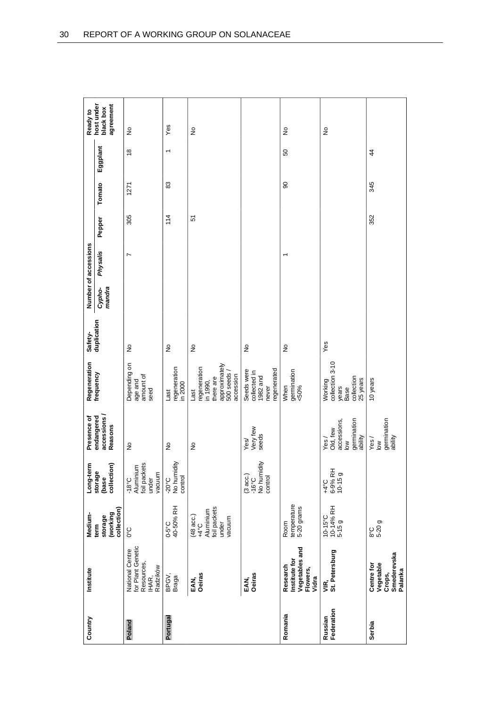| Country               | Institute                                                                      | Medium-                                                                     | E<br>Long-ter                                         | Presence of                                                         | Regeneration                                                                             | Safety-       |                  | Number of accessions |        |        |                          | Ready to                             |
|-----------------------|--------------------------------------------------------------------------------|-----------------------------------------------------------------------------|-------------------------------------------------------|---------------------------------------------------------------------|------------------------------------------------------------------------------------------|---------------|------------------|----------------------|--------|--------|--------------------------|--------------------------------------|
|                       |                                                                                | collection)<br>(working<br>storage<br>term                                  | collection)<br>storage<br>(base                       | accessions<br>endangered<br>Reasons                                 | frequency                                                                                | duplication   | mandra<br>Cypho- | <b>Physalis</b>      | Pepper | Tomato | Eggplant                 | agreement<br>host under<br>black box |
| Poland                | for Plant Genetic<br><b>National Centre</b><br>Resources,<br>Radzików<br>IHAR, | 0°C                                                                         | foil packets<br>-18°C<br>Aluminium<br>vacuum<br>under | ş                                                                   | Depending on<br>amount of<br>age and<br>seed                                             | $\frac{1}{2}$ |                  | N                    | 305    | 1271   | $\frac{8}{1}$            | ş                                    |
| Portugal              | BPGV,<br>Braga                                                                 | 0-5°C<br>40-50% RH                                                          | -20°C<br>No humidity<br>control                       | $\frac{1}{2}$                                                       | regeneration<br>in 2000<br>Last                                                          | $\frac{1}{2}$ |                  |                      | 114    | 83     | $\overline{\phantom{0}}$ | Yes                                  |
|                       | <b>Oeiras</b><br>EAN,                                                          | foil packets<br>Aluminium<br>$(48 \text{ acc.})$<br>+4°C<br>vacuum<br>under |                                                       | $\frac{1}{2}$                                                       | approximately<br>regeneration<br>500 seeds<br>accession<br>there are<br>in 1990,<br>Last | $\frac{1}{2}$ |                  |                      | 5      |        |                          | ş                                    |
|                       | <b>Oeiras</b><br>EAN,                                                          |                                                                             | No humidity<br>(3 acc.)<br>control<br>$-16^{\circ}$ C | Very few<br>seeds<br>Yes/                                           | egenerated<br>Seeds were<br>collected in<br>1982 and<br>never                            | ş             |                  |                      |        |        |                          |                                      |
| Romania               | Vegetables and<br>Institute for<br>Research<br>Flowers,<br>Vidra               | temperature<br>5-20 grams<br>Room                                           |                                                       |                                                                     | germination<br>When<br>$& 50\%$                                                          | $\frac{1}{2}$ |                  | ۳                    |        | 8      | SO                       | ş                                    |
| Russian<br>Federation | VIR,<br>St. Petersburg                                                         | $10-15^{\circ}$ C<br>$10-14\%$ RH<br>5-15 g                                 | $^{+4}$ °C<br>6-9% RH<br>10-15 g                      | germination<br>accessions,<br>Old, few<br>ability<br>Yes/<br>$\geq$ | collection 3-10<br>collection<br>25 years<br>Working<br>years<br>Base                    | Yes           |                  |                      |        |        |                          | $\frac{1}{2}$                        |
| Serbia                | Smederevska<br>Vegetable<br>Centre for<br>Palanka<br>Crops,                    | 8°C<br>5-20 g                                                               |                                                       | germination<br>ability<br>Yes/<br>$\geq$                            | 10 years                                                                                 |               |                  |                      | 352    | 345    | $\overline{4}$           |                                      |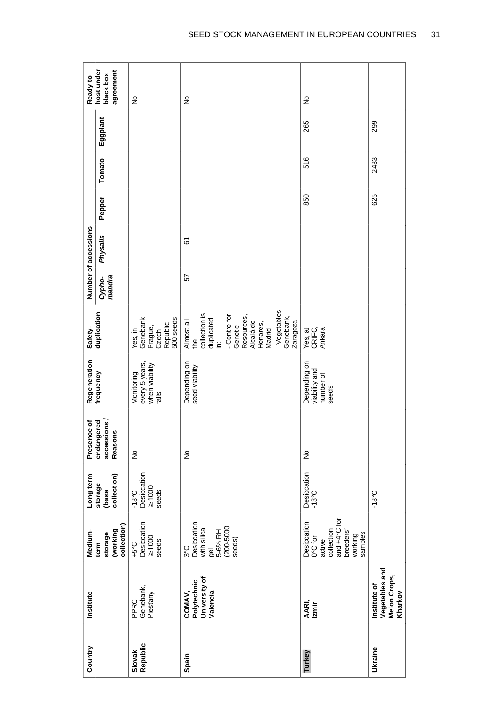| Country            | Institute                                                        | Medium-                                                                                                     | Long-term                                             | Presence of                         | Regeneration                                            | Safety-                                                                                                                                                                           |                  | Number of accessions |        |        |          | Ready to                             |
|--------------------|------------------------------------------------------------------|-------------------------------------------------------------------------------------------------------------|-------------------------------------------------------|-------------------------------------|---------------------------------------------------------|-----------------------------------------------------------------------------------------------------------------------------------------------------------------------------------|------------------|----------------------|--------|--------|----------|--------------------------------------|
|                    |                                                                  | collection)<br>(working<br>storage<br>term                                                                  | collection)<br>storage<br>(base                       | endangered<br>accessions<br>Reasons | frequency                                               | duplication                                                                                                                                                                       | mandra<br>Cypho- | Physalis             | Pepper | Tomato | Eggplant | agreement<br>host under<br>black box |
| Slovak<br>Republic | PPRC<br>Genebank,<br>Piešťany                                    | Desiccation<br>$\geq 1000$<br>seeds<br>$-5^{\circ}$ C                                                       | Desiccation<br>$\geq 1000$<br>seeds<br>$-18^{\circ}C$ | $\frac{1}{2}$                       | every 5 years,<br>when viability<br>Monitoring<br>falls | Yes, in<br>Genebank<br>500 seeds<br>Republic<br>Prague,<br>Czech                                                                                                                  |                  |                      |        |        |          | $\frac{1}{2}$                        |
| Spain              | University of<br>Polytechnic<br>COMAV,<br>Valencia               | Desiccation<br>$(200 - 5000)$<br>with silica<br>5-6% RH<br>seeds)<br>$3^{\circ}C$<br>g<br>9                 |                                                       | $\frac{1}{2}$                       | Depending on<br>seed viability                          | - Vegetables<br>collection is<br>- Centre for<br>Resources,<br>Genebank,<br>duplicated<br>Almost all<br>Zaragoza<br>Alcalá de<br>Henares,<br>Genetic<br>Madrid<br>the<br>غ.<br>⊇. | 57               | 67                   |        |        |          | ş                                    |
| Turkey             | AARI,<br>Izmir                                                   | and $+4^{\circ}$ C for<br>Desiccation<br>collection<br>breeders'<br>samples<br>working<br>0°C for<br>active | Desiccation<br>$-18^{\circ}$ C                        | $\frac{1}{2}$                       | Depending on<br>viability and<br>number of<br>seeds     | Yes, at<br>CRIFC,<br>Ankara                                                                                                                                                       |                  |                      | 850    | 516    | 265      | ş                                    |
| Ukraine            | Vegetables and<br><b>Melon Crops,</b><br>Institute of<br>Kharkov |                                                                                                             | $-18^{\circ}C$                                        |                                     |                                                         |                                                                                                                                                                                   |                  |                      | 625    | 2433   | 299      |                                      |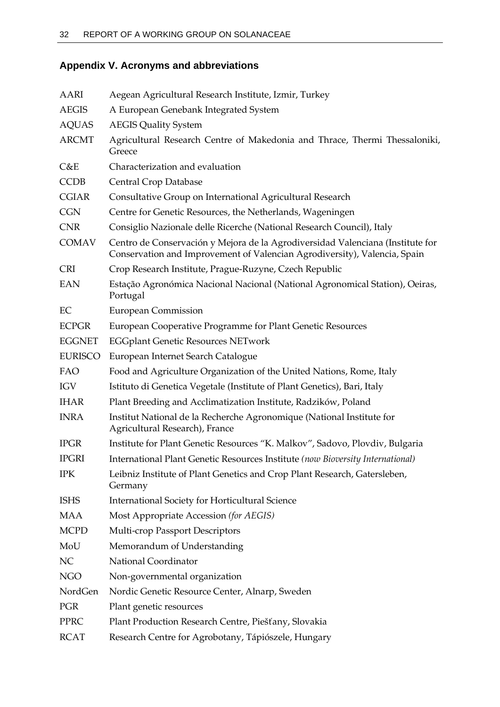# <span id="page-37-0"></span>**Appendix V. Acronyms and abbreviations**

| AARI           | Aegean Agricultural Research Institute, Izmir, Turkey                                                                                                       |
|----------------|-------------------------------------------------------------------------------------------------------------------------------------------------------------|
| <b>AEGIS</b>   | A European Genebank Integrated System                                                                                                                       |
| <b>AQUAS</b>   | <b>AEGIS Quality System</b>                                                                                                                                 |
| <b>ARCMT</b>   | Agricultural Research Centre of Makedonia and Thrace, Thermi Thessaloniki,<br>Greece                                                                        |
| C&E            | Characterization and evaluation                                                                                                                             |
| <b>CCDB</b>    | Central Crop Database                                                                                                                                       |
| <b>CGIAR</b>   | Consultative Group on International Agricultural Research                                                                                                   |
| <b>CGN</b>     | Centre for Genetic Resources, the Netherlands, Wageningen                                                                                                   |
| <b>CNR</b>     | Consiglio Nazionale delle Ricerche (National Research Council), Italy                                                                                       |
| <b>COMAV</b>   | Centro de Conservación y Mejora de la Agrodiversidad Valenciana (Institute for<br>Conservation and Improvement of Valencian Agrodiversity), Valencia, Spain |
| <b>CRI</b>     | Crop Research Institute, Prague-Ruzyne, Czech Republic                                                                                                      |
| <b>EAN</b>     | Estação Agronómica Nacional Nacional (National Agronomical Station), Oeiras,<br>Portugal                                                                    |
| EC             | <b>European Commission</b>                                                                                                                                  |
| <b>ECPGR</b>   | European Cooperative Programme for Plant Genetic Resources                                                                                                  |
| <b>EGGNET</b>  | <b>EGGplant Genetic Resources NETwork</b>                                                                                                                   |
| <b>EURISCO</b> | European Internet Search Catalogue                                                                                                                          |
| FAO            | Food and Agriculture Organization of the United Nations, Rome, Italy                                                                                        |
| <b>IGV</b>     | Istituto di Genetica Vegetale (Institute of Plant Genetics), Bari, Italy                                                                                    |
| <b>IHAR</b>    | Plant Breeding and Acclimatization Institute, Radzików, Poland                                                                                              |
| <b>INRA</b>    | Institut National de la Recherche Agronomique (National Institute for<br>Agricultural Research), France                                                     |
| <b>IPGR</b>    | Institute for Plant Genetic Resources "K. Malkov", Sadovo, Plovdiv, Bulgaria                                                                                |
| <b>IPGRI</b>   | International Plant Genetic Resources Institute (now Bioversity International)                                                                              |
| <b>IPK</b>     | Leibniz Institute of Plant Genetics and Crop Plant Research, Gatersleben,<br>Germany                                                                        |
| <b>ISHS</b>    | International Society for Horticultural Science                                                                                                             |
| <b>MAA</b>     | Most Appropriate Accession (for AEGIS)                                                                                                                      |
| <b>MCPD</b>    | Multi-crop Passport Descriptors                                                                                                                             |
| MoU            | Memorandum of Understanding                                                                                                                                 |
| NC             | National Coordinator                                                                                                                                        |
| <b>NGO</b>     | Non-governmental organization                                                                                                                               |
| NordGen        | Nordic Genetic Resource Center, Alnarp, Sweden                                                                                                              |
| PGR            | Plant genetic resources                                                                                                                                     |
| <b>PPRC</b>    | Plant Production Research Centre, Piešťany, Slovakia                                                                                                        |
| <b>RCAT</b>    | Research Centre for Agrobotany, Tápiószele, Hungary                                                                                                         |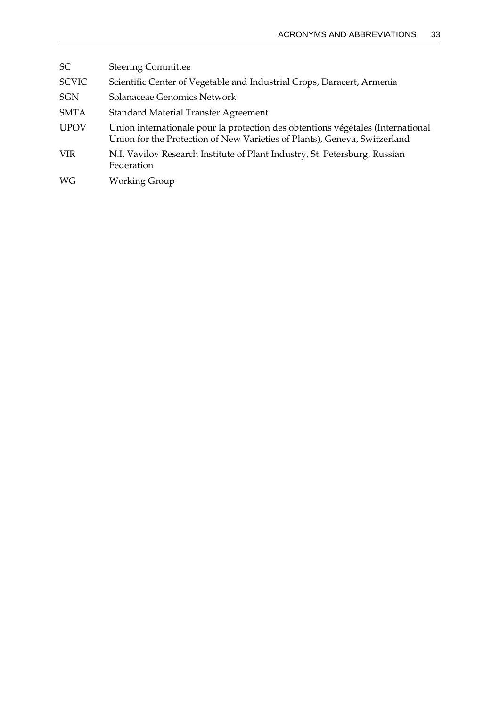| <b>SC</b>    | <b>Steering Committee</b>                                                                                                                                    |
|--------------|--------------------------------------------------------------------------------------------------------------------------------------------------------------|
| <b>SCVIC</b> | Scientific Center of Vegetable and Industrial Crops, Daracert, Armenia                                                                                       |
| <b>SGN</b>   | Solanaceae Genomics Network                                                                                                                                  |
| <b>SMTA</b>  | Standard Material Transfer Agreement                                                                                                                         |
| <b>UPOV</b>  | Union internationale pour la protection des obtentions végétales (International<br>Union for the Protection of New Varieties of Plants), Geneva, Switzerland |
| <b>VIR</b>   | N.I. Vavilov Research Institute of Plant Industry, St. Petersburg, Russian<br>Federation                                                                     |
| WG           | <b>Working Group</b>                                                                                                                                         |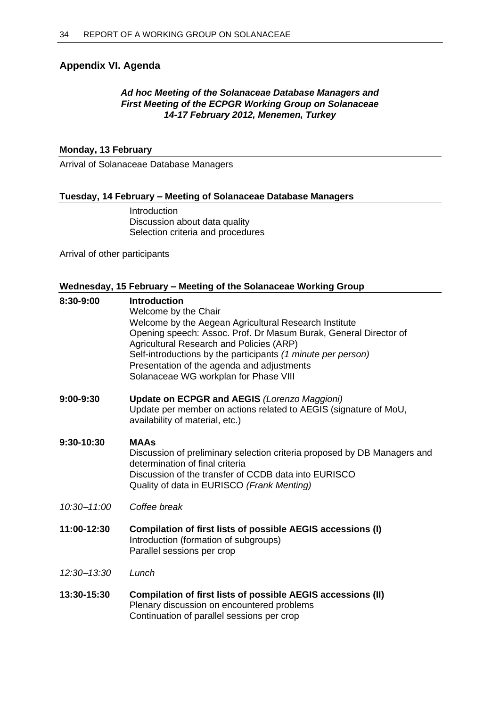# <span id="page-39-0"></span>**Appendix VI. Agenda**

# *Ad hoc Meeting of the Solanaceae Database Managers and First Meeting of the ECPGR Working Group on Solanaceae 14-17 February 2012, Menemen, Turkey*

# **Monday, 13 February**

Arrival of Solanaceae Database Managers

# **Tuesday, 14 February – Meeting of Solanaceae Database Managers**

Introduction Discussion about data quality Selection criteria and procedures

Arrival of other participants

# **Wednesday, 15 February – Meeting of the Solanaceae Working Group**

| 8:30-9:00       | <b>Introduction</b><br>Welcome by the Chair<br>Welcome by the Aegean Agricultural Research Institute<br>Opening speech: Assoc. Prof. Dr Masum Burak, General Director of<br>Agricultural Research and Policies (ARP)<br>Self-introductions by the participants (1 minute per person)<br>Presentation of the agenda and adjustments<br>Solanaceae WG workplan for Phase VIII |
|-----------------|-----------------------------------------------------------------------------------------------------------------------------------------------------------------------------------------------------------------------------------------------------------------------------------------------------------------------------------------------------------------------------|
| 9:00-9:30       | <b>Update on ECPGR and AEGIS (Lorenzo Maggioni)</b><br>Update per member on actions related to AEGIS (signature of MoU,<br>availability of material, etc.)                                                                                                                                                                                                                  |
| 9:30-10:30      | <b>MAAs</b><br>Discussion of preliminary selection criteria proposed by DB Managers and<br>determination of final criteria<br>Discussion of the transfer of CCDB data into EURISCO<br>Quality of data in EURISCO (Frank Menting)                                                                                                                                            |
| $10:30 - 11:00$ | Coffee break                                                                                                                                                                                                                                                                                                                                                                |
| 11:00-12:30     | Compilation of first lists of possible AEGIS accessions (I)<br>Introduction (formation of subgroups)<br>Parallel sessions per crop                                                                                                                                                                                                                                          |
| 12:30-13:30     | Lunch                                                                                                                                                                                                                                                                                                                                                                       |
| 13:30-15:30     | Compilation of first lists of possible AEGIS accessions (II)<br>Plenary discussion on encountered problems<br>Continuation of parallel sessions per crop                                                                                                                                                                                                                    |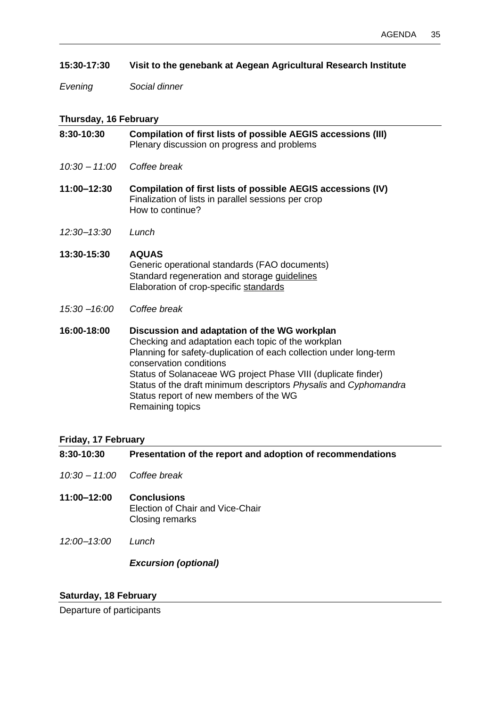# **15:30-17:30 Visit to the genebank at Aegean Agricultural Research Institute**

*Evening Social dinner*

# **Thursday, 16 February**

| 8:30-10:30    | Compilation of first lists of possible AEGIS accessions (III)<br>Plenary discussion on progress and problems                                                                                                                                                                                                                                                                                           |
|---------------|--------------------------------------------------------------------------------------------------------------------------------------------------------------------------------------------------------------------------------------------------------------------------------------------------------------------------------------------------------------------------------------------------------|
| 10:30 - 11:00 | Coffee break                                                                                                                                                                                                                                                                                                                                                                                           |
| 11:00-12:30   | Compilation of first lists of possible AEGIS accessions (IV)<br>Finalization of lists in parallel sessions per crop<br>How to continue?                                                                                                                                                                                                                                                                |
| 12:30-13:30   | Lunch                                                                                                                                                                                                                                                                                                                                                                                                  |
| 13:30-15:30   | <b>AQUAS</b><br>Generic operational standards (FAO documents)<br>Standard regeneration and storage guidelines<br>Elaboration of crop-specific standards                                                                                                                                                                                                                                                |
| 15:30 - 16:00 | Coffee break                                                                                                                                                                                                                                                                                                                                                                                           |
| 16:00-18:00   | Discussion and adaptation of the WG workplan<br>Checking and adaptation each topic of the workplan<br>Planning for safety-duplication of each collection under long-term<br>conservation conditions<br>Status of Solanaceae WG project Phase VIII (duplicate finder)<br>Status of the draft minimum descriptors Physalis and Cyphomandra<br>Status report of new members of the WG<br>Remaining topics |

# **Friday, 17 February**

| 8:30-10:30      | Presentation of the report and adoption of recommendations                |
|-----------------|---------------------------------------------------------------------------|
| $10:30 - 11:00$ | Coffee break                                                              |
| 11:00–12:00     | <b>Conclusions</b><br>Election of Chair and Vice-Chair<br>Closing remarks |
| $12:00 - 13:00$ | Lunch                                                                     |
|                 | <b>Excursion (optional)</b>                                               |

# **Saturday, 18 February**

Departure of participants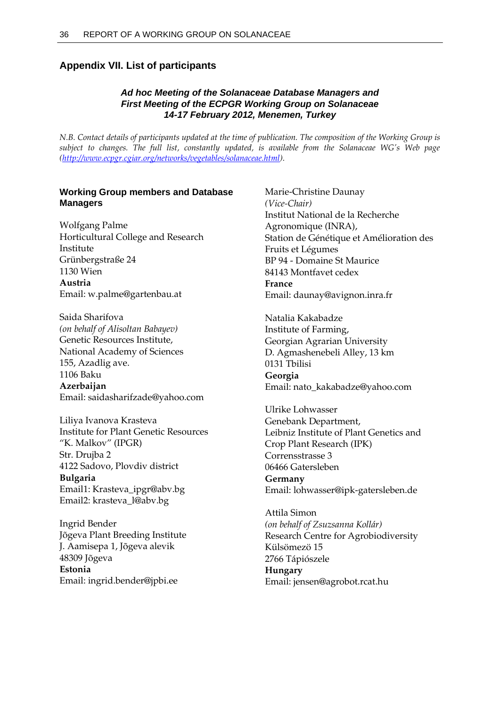# <span id="page-41-0"></span>**Appendix VII. List of participants**

# *Ad hoc Meeting of the Solanaceae Database Managers and First Meeting of the ECPGR Working Group on Solanaceae 14-17 February 2012, Menemen, Turkey*

*N.B. Contact details of participants updated at the time of publication. The composition of the Working Group is subject to changes. The full list, constantly updated, is available from the Solanaceae WG's Web page [\(http://www.ecpgr.cgiar.org/networks/vegetables/solanaceae.html\)](http://www.ecpgr.cgiar.org/networks/vegetables/solanaceae.html).*

# **Working Group members and Database Managers**

Wolfgang Palme Horticultural College and Research Institute Grünbergstraße 24 1130 Wien **Austria** Email: w.palme@gartenbau.at

Saida Sharifova *(on behalf of Alisoltan Babayev)* Genetic Resources Institute, National Academy of Sciences 155, Azadlig ave. 1106 Baku **Azerbaijan** Email: saidasharifzade@yahoo.com

Liliya Ivanova Krasteva Institute for Plant Genetic Resources "K. Malkov" (IPGR) Str. Drujba 2 4122 Sadovo, Plovdiv district **Bulgaria** Email1: Krasteva\_ipgr@abv.bg Email2: krasteva\_l@abv.bg

Ingrid Bender Jõgeva Plant Breeding Institute J. Aamisepa 1, Jõgeva alevik 48309 Jõgeva **Estonia** Email: ingrid.bender@jpbi.ee

Marie-Christine Daunay *(Vice-Chair)* Institut National de la Recherche Agronomique (INRA), Station de Génétique et Amélioration des Fruits et Légumes BP 94 - Domaine St Maurice 84143 Montfavet cedex **France** Email: daunay@avignon.inra.fr

Natalia Kakabadze Institute of Farming, Georgian Agrarian University D. Agmashenebeli Alley, 13 km 0131 Tbilisi **Georgia** Email: nato\_kakabadze@yahoo.com

Ulrike Lohwasser Genebank Department, Leibniz Institute of Plant Genetics and Crop Plant Research (IPK) Corrensstrasse 3 06466 Gatersleben **Germany** Email: lohwasser@ipk-gatersleben.de

Attila Simon *(on behalf of Zsuzsanna Kollár)* Research Centre for Agrobiodiversity Külsömezö 15 2766 Tápiószele **Hungary** Email: jensen@agrobot.rcat.hu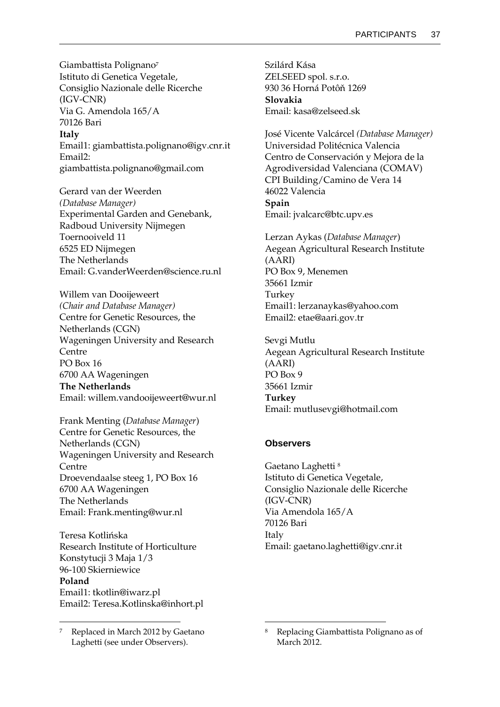Giambattista Polignano<sup>7</sup> Istituto di Genetica Vegetale, Consiglio Nazionale delle Ricerche (IGV-CNR) Via G. Amendola 165/A 70126 Bari

**Italy** Email1: giambattista.polignano@igv.cnr.it Email2: giambattista.polignano@gmail.com

Gerard van der Weerden *(Database Manager)* Experimental Garden and Genebank, Radboud University Nijmegen Toernooiveld 11 6525 ED Nijmegen The Netherlands Email: G.vanderWeerden@science.ru.nl

Willem van Dooijeweert *(Chair and Database Manager)* Centre for Genetic Resources, the Netherlands (CGN) Wageningen University and Research Centre PO Box 16 6700 AA Wageningen **The Netherlands** Email: willem.vandooijeweert@wur.nl

Frank Menting (*Database Manager*) Centre for Genetic Resources, the Netherlands (CGN) Wageningen University and Research Centre Droevendaalse steeg 1, PO Box 16 6700 AA Wageningen The Netherlands Email: Frank.menting@wur.nl

Teresa Kotlińska Research Institute of Horticulture Konstytucji 3 Maja 1/3 96-100 Skierniewice **Poland** Email1: tkotlin@iwarz.pl Email2: Teresa.Kotlinska@inhort.pl

 $\ddot{\phantom{a}}$ 

Szilárd Kása ZELSEED spol. s.r.o. 930 36 Horná Potôň 1269 **Slovakia** Email: kasa@zelseed.sk

José Vicente Valcárcel *(Database Manager)* Universidad Politécnica Valencia Centro de Conservación y Mejora de la Agrodiversidad Valenciana (COMAV) CPI Building/Camino de Vera 14 46022 Valencia **Spain** Email: jvalcarc@btc.upv.es

Lerzan Aykas (*Database Manager*) Aegean Agricultural Research Institute (AARI) PO Box 9, Menemen 35661 Izmir Turkey Email1: lerzanaykas@yahoo.com Email2: etae@aari.gov.tr

Sevgi Mutlu Aegean Agricultural Research Institute (AARI) PO Box 9 35661 Izmir **Turkey** Email: mutlusevgi@hotmail.com

## **Observers**

1

Gaetano Laghetti <sup>8</sup> Istituto di Genetica Vegetale, Consiglio Nazionale delle Ricerche (IGV-CNR) Via Amendola 165/A 70126 Bari Italy Email: gaetano.laghetti@igv.cnr.it

Replaced in March 2012 by Gaetano Laghetti (see under Observers).

<sup>8</sup> Replacing Giambattista Polignano as of March 2012.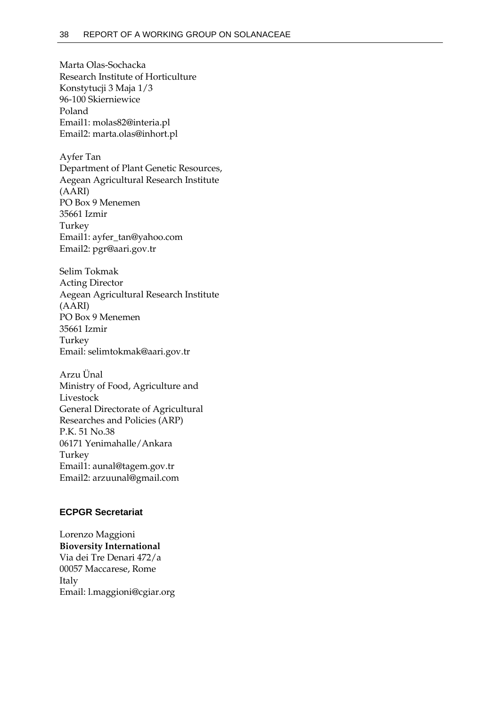Marta Olas-Sochacka Research Institute of Horticulture Konstytucji 3 Maja 1/3 96-100 Skierniewice Poland Email1: molas82@interia.pl Email2: marta.olas@inhort.pl

Ayfer Tan Department of Plant Genetic Resources, Aegean Agricultural Research Institute (AARI) PO Box 9 Menemen 35661 Izmir Turkey Email1: ayfer\_tan@yahoo.com Email2: pgr@aari.gov.tr

Selim Tokmak Acting Director Aegean Agricultural Research Institute (AARI) PO Box 9 Menemen 35661 Izmir Turkey Email: selimtokmak@aari.gov.tr

Arzu Ünal Ministry of Food, Agriculture and Livestock General Directorate of Agricultural Researches and Policies (ARP) P.K. 51 No.38 06171 Yenimahalle/Ankara Turkey Email1: aunal@tagem.gov.tr Email2: arzuunal@gmail.com

## **ECPGR Secretariat**

Lorenzo Maggioni **Bioversity International** Via dei Tre Denari 472/a 00057 Maccarese, Rome Italy Email: l.maggioni@cgiar.org